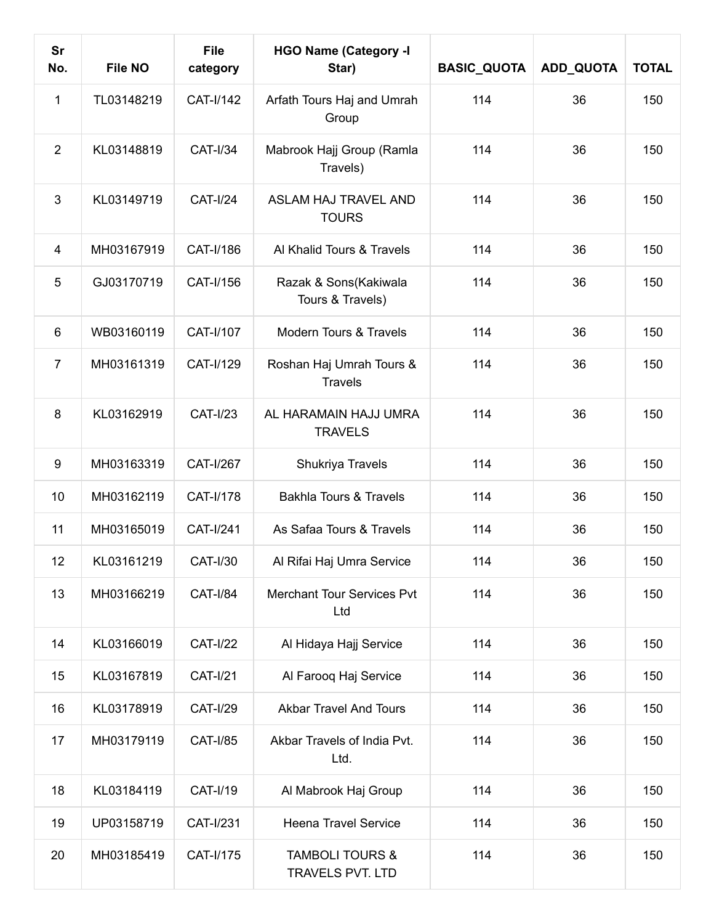| <b>Sr</b><br>No. | <b>File NO</b> | <b>File</b><br>category | <b>HGO Name (Category -I</b><br>Star)          | <b>BASIC_QUOTA</b> | ADD_QUOTA | <b>TOTAL</b> |
|------------------|----------------|-------------------------|------------------------------------------------|--------------------|-----------|--------------|
| 1                | TL03148219     | CAT-I/142               | Arfath Tours Haj and Umrah<br>Group            | 114                | 36        | 150          |
| 2                | KL03148819     | <b>CAT-I/34</b>         | Mabrook Hajj Group (Ramla<br>Travels)          | 114                | 36        | 150          |
| 3                | KL03149719     | <b>CAT-I/24</b>         | <b>ASLAM HAJ TRAVEL AND</b><br><b>TOURS</b>    | 114                | 36        | 150          |
| $\overline{4}$   | MH03167919     | CAT-I/186               | Al Khalid Tours & Travels                      | 114                | 36        | 150          |
| 5                | GJ03170719     | CAT-I/156               | Razak & Sons(Kakiwala<br>Tours & Travels)      | 114                | 36        | 150          |
| 6                | WB03160119     | CAT-I/107               | Modern Tours & Travels                         | 114                | 36        | 150          |
| $\overline{7}$   | MH03161319     | CAT-I/129               | Roshan Haj Umrah Tours &<br><b>Travels</b>     | 114                | 36        | 150          |
| 8                | KL03162919     | <b>CAT-I/23</b>         | AL HARAMAIN HAJJ UMRA<br><b>TRAVELS</b>        | 114                | 36        | 150          |
| 9                | MH03163319     | <b>CAT-I/267</b>        | Shukriya Travels                               | 114                | 36        | 150          |
| 10               | MH03162119     | CAT-I/178               | <b>Bakhla Tours &amp; Travels</b>              | 114                | 36        | 150          |
| 11               | MH03165019     | <b>CAT-I/241</b>        | As Safaa Tours & Travels                       | 114                | 36        | 150          |
| 12               | KL03161219     | <b>CAT-I/30</b>         | Al Rifai Haj Umra Service                      | 114                | 36        | 150          |
| 13               | MH03166219     | <b>CAT-I/84</b>         | <b>Merchant Tour Services Pvt</b><br>Ltd       | 114                | 36        | 150          |
| 14               | KL03166019     | <b>CAT-I/22</b>         | Al Hidaya Hajj Service                         | 114                | 36        | 150          |
| 15               | KL03167819     | <b>CAT-I/21</b>         | Al Farooq Haj Service                          | 114                | 36        | 150          |
| 16               | KL03178919     | <b>CAT-I/29</b>         | <b>Akbar Travel And Tours</b>                  | 114                | 36        | 150          |
| 17               | MH03179119     | <b>CAT-I/85</b>         | Akbar Travels of India Pvt.<br>Ltd.            | 114                | 36        | 150          |
| 18               | KL03184119     | <b>CAT-I/19</b>         | Al Mabrook Haj Group                           | 114                | 36        | 150          |
| 19               | UP03158719     | <b>CAT-I/231</b>        | <b>Heena Travel Service</b>                    | 114                | 36        | 150          |
| 20               | MH03185419     | CAT-I/175               | <b>TAMBOLI TOURS &amp;</b><br>TRAVELS PVT. LTD | 114                | 36        | 150          |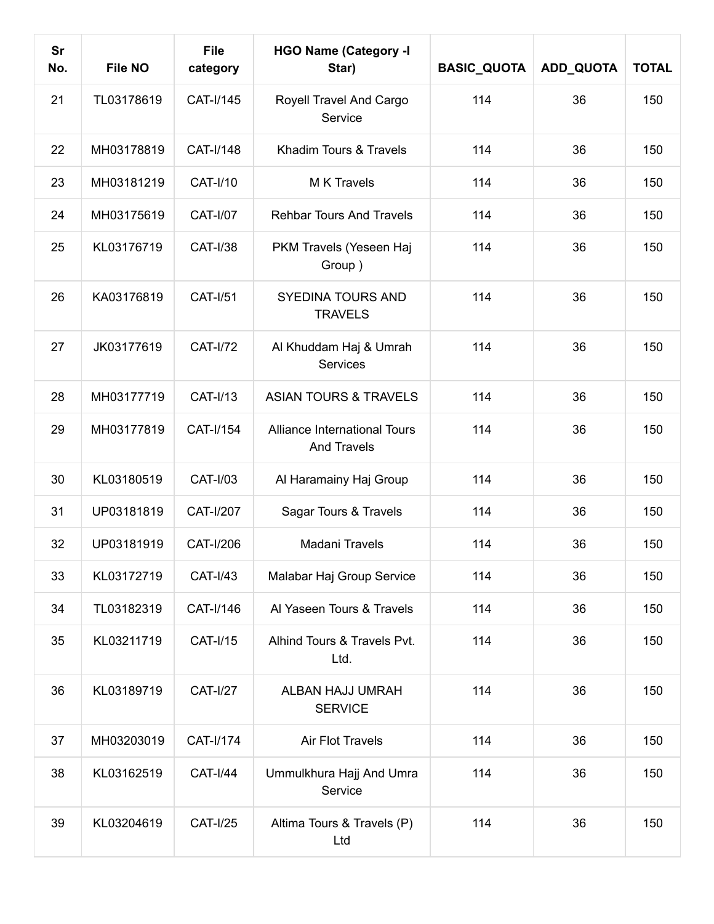| <b>Sr</b><br>No. | File NO    | <b>File</b><br>category | <b>HGO Name (Category -I</b><br>Star)              | <b>BASIC_QUOTA</b> | ADD_QUOTA | <b>TOTAL</b> |
|------------------|------------|-------------------------|----------------------------------------------------|--------------------|-----------|--------------|
| 21               | TL03178619 | CAT-I/145               | Royell Travel And Cargo<br>Service                 | 114                | 36        | 150          |
| 22               | MH03178819 | CAT-I/148               | Khadim Tours & Travels                             | 114                | 36        | 150          |
| 23               | MH03181219 | <b>CAT-I/10</b>         | M K Travels                                        | 114                | 36        | 150          |
| 24               | MH03175619 | <b>CAT-I/07</b>         | <b>Rehbar Tours And Travels</b>                    | 114                | 36        | 150          |
| 25               | KL03176719 | <b>CAT-I/38</b>         | PKM Travels (Yeseen Haj<br>Group)                  | 114                | 36        | 150          |
| 26               | KA03176819 | <b>CAT-I/51</b>         | <b>SYEDINA TOURS AND</b><br><b>TRAVELS</b>         | 114                | 36        | 150          |
| 27               | JK03177619 | <b>CAT-I/72</b>         | Al Khuddam Haj & Umrah<br>Services                 | 114                | 36        | 150          |
| 28               | MH03177719 | <b>CAT-I/13</b>         | <b>ASIAN TOURS &amp; TRAVELS</b>                   | 114                | 36        | 150          |
| 29               | MH03177819 | CAT-I/154               | Alliance International Tours<br><b>And Travels</b> | 114                | 36        | 150          |
| 30               | KL03180519 | <b>CAT-I/03</b>         | Al Haramainy Haj Group                             | 114                | 36        | 150          |
| 31               | UP03181819 | <b>CAT-I/207</b>        | Sagar Tours & Travels                              | 114                | 36        | 150          |
| 32               | UP03181919 | CAT-I/206               | Madani Travels                                     | 114                | 36        | 150          |
| 33               | KL03172719 | <b>CAT-I/43</b>         | Malabar Haj Group Service                          | 114                | 36        | 150          |
| 34               | TL03182319 | CAT-I/146               | Al Yaseen Tours & Travels                          | 114                | 36        | 150          |
| 35               | KL03211719 | <b>CAT-I/15</b>         | Alhind Tours & Travels Pvt.<br>Ltd.                | 114                | 36        | 150          |
| 36               | KL03189719 | <b>CAT-I/27</b>         | ALBAN HAJJ UMRAH<br><b>SERVICE</b>                 | 114                | 36        | 150          |
| 37               | MH03203019 | CAT-I/174               | Air Flot Travels                                   | 114                | 36        | 150          |
| 38               | KL03162519 | <b>CAT-I/44</b>         | Ummulkhura Hajj And Umra<br>Service                | 114                | 36        | 150          |
| 39               | KL03204619 | <b>CAT-I/25</b>         | Altima Tours & Travels (P)<br>Ltd                  | 114                | 36        | 150          |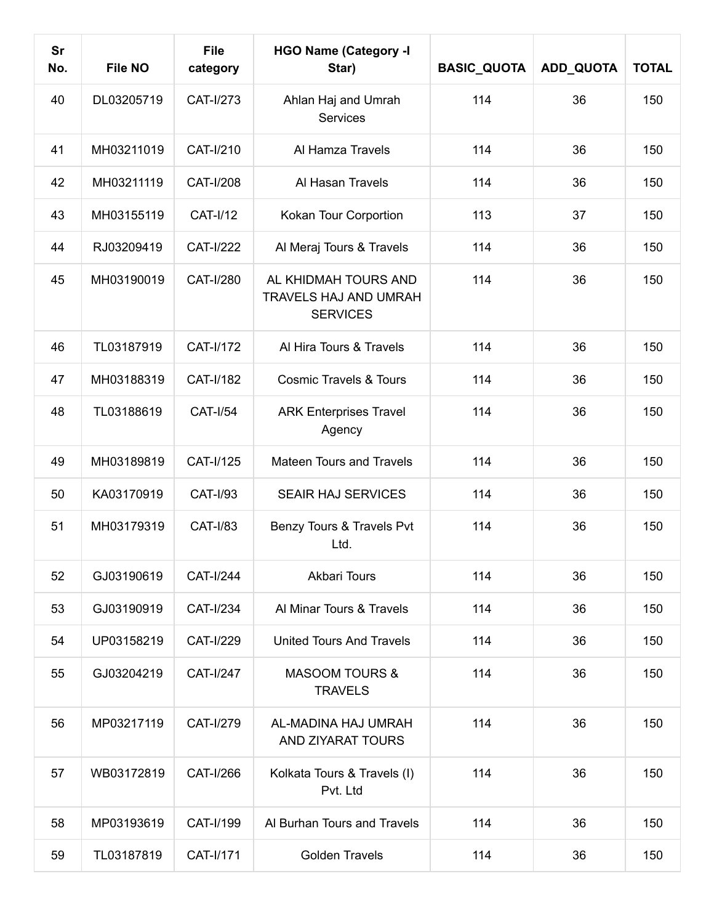| Sr<br>No. | <b>File NO</b> | <b>File</b><br>category | <b>HGO Name (Category -I</b><br>Star)                            | <b>BASIC_QUOTA</b> | ADD_QUOTA | <b>TOTAL</b> |
|-----------|----------------|-------------------------|------------------------------------------------------------------|--------------------|-----------|--------------|
| 40        | DL03205719     | CAT-I/273               | Ahlan Haj and Umrah<br><b>Services</b>                           | 114                | 36        | 150          |
| 41        | MH03211019     | CAT-I/210               | Al Hamza Travels                                                 | 114                | 36        | 150          |
| 42        | MH03211119     | <b>CAT-I/208</b>        | Al Hasan Travels                                                 | 114                | 36        | 150          |
| 43        | MH03155119     | <b>CAT-I/12</b>         | Kokan Tour Corportion                                            | 113                | 37        | 150          |
| 44        | RJ03209419     | <b>CAT-I/222</b>        | Al Meraj Tours & Travels                                         | 114                | 36        | 150          |
| 45        | MH03190019     | CAT-I/280               | AL KHIDMAH TOURS AND<br>TRAVELS HAJ AND UMRAH<br><b>SERVICES</b> | 114                | 36        | 150          |
| 46        | TL03187919     | CAT-I/172               | Al Hira Tours & Travels                                          | 114                | 36        | 150          |
| 47        | MH03188319     | <b>CAT-I/182</b>        | <b>Cosmic Travels &amp; Tours</b>                                | 114                | 36        | 150          |
| 48        | TL03188619     | <b>CAT-I/54</b>         | <b>ARK Enterprises Travel</b><br>Agency                          | 114                | 36        | 150          |
| 49        | MH03189819     | CAT-I/125               | <b>Mateen Tours and Travels</b>                                  | 114                | 36        | 150          |
| 50        | KA03170919     | <b>CAT-I/93</b>         | <b>SEAIR HAJ SERVICES</b>                                        | 114                | 36        | 150          |
| 51        | MH03179319     | <b>CAT-I/83</b>         | Benzy Tours & Travels Pvt<br>Ltd.                                | 114                | 36        | 150          |
| 52        | GJ03190619     | <b>CAT-I/244</b>        | <b>Akbari Tours</b>                                              | 114                | 36        | 150          |
| 53        | GJ03190919     | <b>CAT-I/234</b>        | Al Minar Tours & Travels                                         | 114                | 36        | 150          |
| 54        | UP03158219     | CAT-I/229               | <b>United Tours And Travels</b>                                  | 114                | 36        | 150          |
| 55        | GJ03204219     | <b>CAT-I/247</b>        | <b>MASOOM TOURS &amp;</b><br><b>TRAVELS</b>                      | 114                | 36        | 150          |
| 56        | MP03217119     | CAT-I/279               | AL-MADINA HAJ UMRAH<br>AND ZIYARAT TOURS                         | 114                | 36        | 150          |
| 57        | WB03172819     | CAT-I/266               | Kolkata Tours & Travels (I)<br>Pvt. Ltd                          | 114                | 36        | 150          |
| 58        | MP03193619     | CAT-I/199               | Al Burhan Tours and Travels                                      | 114                | 36        | 150          |
| 59        | TL03187819     | CAT-I/171               | <b>Golden Travels</b>                                            | 114                | 36        | 150          |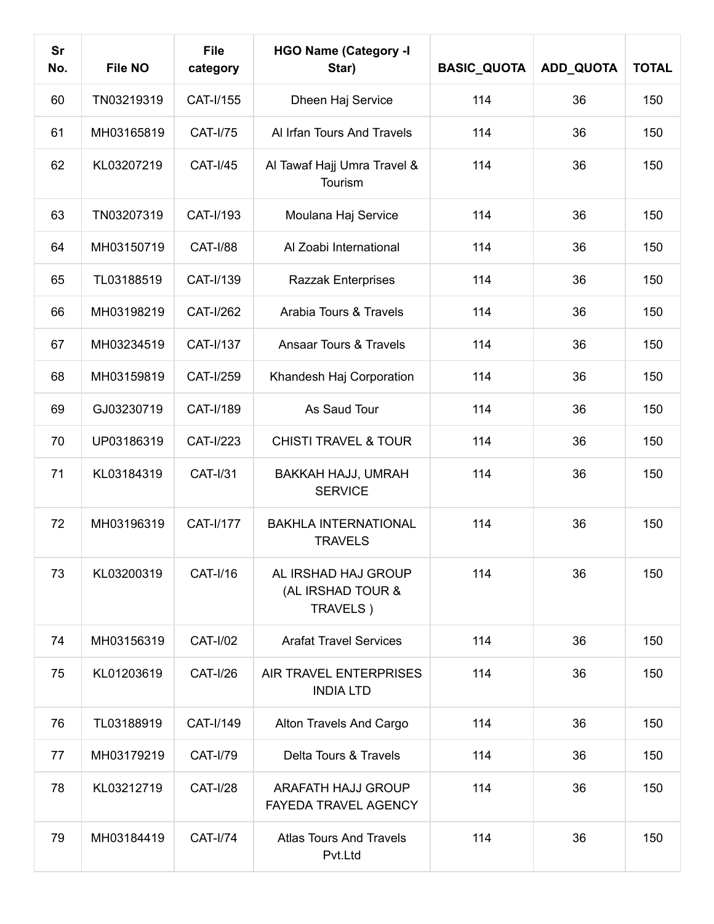| Sr<br>No. | <b>File NO</b> | <b>File</b><br>category | <b>HGO Name (Category -I</b><br>Star)                | <b>BASIC_QUOTA</b> | <b>ADD_QUOTA</b> | <b>TOTAL</b> |
|-----------|----------------|-------------------------|------------------------------------------------------|--------------------|------------------|--------------|
| 60        | TN03219319     | CAT-I/155               | Dheen Haj Service                                    | 114                | 36               | 150          |
| 61        | MH03165819     | <b>CAT-I/75</b>         | Al Irfan Tours And Travels                           | 114                | 36               | 150          |
| 62        | KL03207219     | <b>CAT-I/45</b>         | Al Tawaf Hajj Umra Travel &<br>Tourism               | 114                | 36               | 150          |
| 63        | TN03207319     | CAT-I/193               | Moulana Haj Service                                  | 114                | 36               | 150          |
| 64        | MH03150719     | <b>CAT-I/88</b>         | Al Zoabi International                               | 114                | 36               | 150          |
| 65        | TL03188519     | CAT-I/139               | Razzak Enterprises                                   | 114                | 36               | 150          |
| 66        | MH03198219     | CAT-I/262               | Arabia Tours & Travels                               | 114                | 36               | 150          |
| 67        | MH03234519     | CAT-I/137               | <b>Ansaar Tours &amp; Travels</b>                    | 114                | 36               | 150          |
| 68        | MH03159819     | CAT-I/259               | Khandesh Haj Corporation                             | 114                | 36               | 150          |
| 69        | GJ03230719     | CAT-I/189               | As Saud Tour                                         | 114                | 36               | 150          |
| 70        | UP03186319     | CAT-I/223               | <b>CHISTI TRAVEL &amp; TOUR</b>                      | 114                | 36               | 150          |
| 71        | KL03184319     | CAT-I/31                | BAKKAH HAJJ, UMRAH<br><b>SERVICE</b>                 | 114                | 36               | 150          |
| 72        | MH03196319     | <b>CAT-I/177</b>        | <b>BAKHLA INTERNATIONAL</b><br><b>TRAVELS</b>        | 114                | 36               | 150          |
| 73        | KL03200319     | <b>CAT-I/16</b>         | AL IRSHAD HAJ GROUP<br>(AL IRSHAD TOUR &<br>TRAVELS) | 114                | 36               | 150          |
| 74        | MH03156319     | <b>CAT-I/02</b>         | <b>Arafat Travel Services</b>                        | 114                | 36               | 150          |
| 75        | KL01203619     | <b>CAT-I/26</b>         | AIR TRAVEL ENTERPRISES<br><b>INDIA LTD</b>           | 114                | 36               | 150          |
| 76        | TL03188919     | CAT-I/149               | Alton Travels And Cargo                              | 114                | 36               | 150          |
| 77        | MH03179219     | <b>CAT-I/79</b>         | Delta Tours & Travels                                | 114                | 36               | 150          |
| 78        | KL03212719     | <b>CAT-I/28</b>         | ARAFATH HAJJ GROUP<br>FAYEDA TRAVEL AGENCY           | 114                | 36               | 150          |
| 79        | MH03184419     | <b>CAT-I/74</b>         | <b>Atlas Tours And Travels</b><br>Pvt.Ltd            | 114                | 36               | 150          |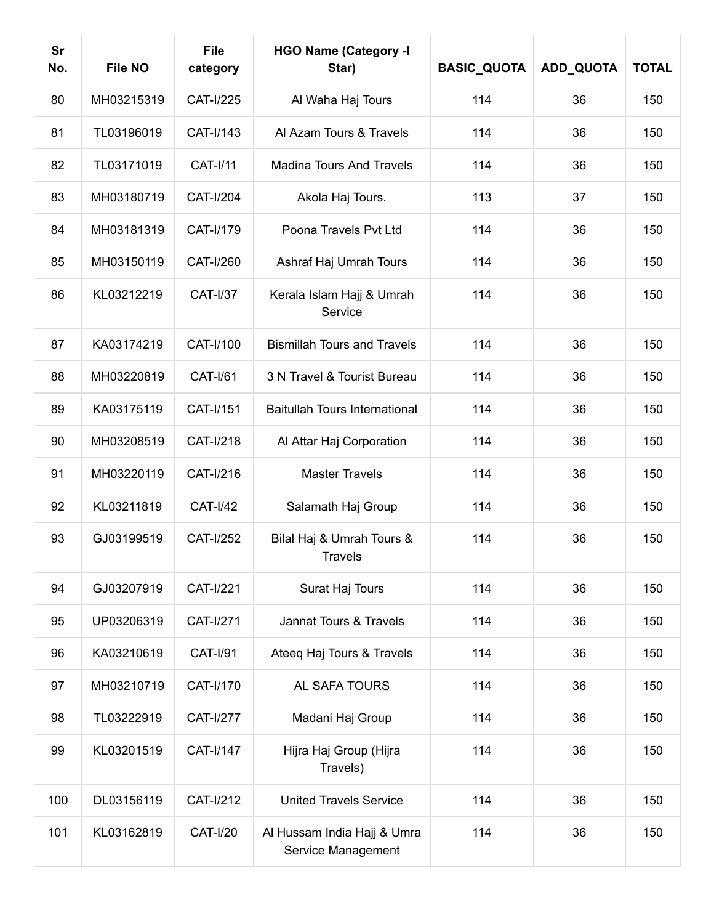| Sr<br>No. | <b>File NO</b> | <b>File</b><br>category | <b>HGO Name (Category -I</b><br>Star)             | <b>BASIC_QUOTA</b> | <b>ADD_QUOTA</b> | <b>TOTAL</b> |
|-----------|----------------|-------------------------|---------------------------------------------------|--------------------|------------------|--------------|
| 80        | MH03215319     | CAT-I/225               | Al Waha Haj Tours                                 | 114                | 36               | 150          |
| 81        | TL03196019     | CAT-I/143               | Al Azam Tours & Travels                           | 114                | 36               | 150          |
| 82        | TL03171019     | <b>CAT-I/11</b>         | <b>Madina Tours And Travels</b>                   | 114                | 36               | 150          |
| 83        | MH03180719     | CAT-I/204               | Akola Haj Tours.                                  | 113                | 37               | 150          |
| 84        | MH03181319     | CAT-I/179               | Poona Travels Pvt Ltd                             | 114                | 36               | 150          |
| 85        | MH03150119     | CAT-I/260               | Ashraf Haj Umrah Tours                            | 114                | 36               | 150          |
| 86        | KL03212219     | <b>CAT-I/37</b>         | Kerala Islam Hajj & Umrah<br>Service              | 114                | 36               | 150          |
| 87        | KA03174219     | CAT-I/100               | <b>Bismillah Tours and Travels</b>                | 114                | 36               | 150          |
| 88        | MH03220819     | <b>CAT-I/61</b>         | 3 N Travel & Tourist Bureau                       | 114                | 36               | 150          |
| 89        | KA03175119     | CAT-I/151               | <b>Baitullah Tours International</b>              | 114                | 36               | 150          |
| 90        | MH03208519     | CAT-I/218               | Al Attar Haj Corporation                          | 114                | 36               | 150          |
| 91        | MH03220119     | CAT-I/216               | <b>Master Travels</b>                             | 114                | 36               | 150          |
| 92        | KL03211819     | <b>CAT-I/42</b>         | Salamath Haj Group                                | 114                | 36               | 150          |
| 93        | GJ03199519     | <b>CAT-I/252</b>        | Bilal Haj & Umrah Tours &<br><b>Travels</b>       | 114                | 36               | 150          |
| 94        | GJ03207919     | <b>CAT-I/221</b>        | Surat Haj Tours                                   | 114                | 36               | 150          |
| 95        | UP03206319     | <b>CAT-I/271</b>        | Jannat Tours & Travels                            | 114                | 36               | 150          |
| 96        | KA03210619     | <b>CAT-I/91</b>         | Ateeq Haj Tours & Travels                         | 114                | 36               | 150          |
| 97        | MH03210719     | CAT-I/170               | AL SAFA TOURS                                     | 114                | 36               | 150          |
| 98        | TL03222919     | <b>CAT-I/277</b>        | Madani Haj Group                                  | 114                | 36               | 150          |
| 99        | KL03201519     | CAT-I/147               | Hijra Haj Group (Hijra<br>Travels)                | 114                | 36               | 150          |
| 100       | DL03156119     | CAT-I/212               | <b>United Travels Service</b>                     | 114                | 36               | 150          |
| 101       | KL03162819     | <b>CAT-I/20</b>         | Al Hussam India Hajj & Umra<br>Service Management | 114                | 36               | 150          |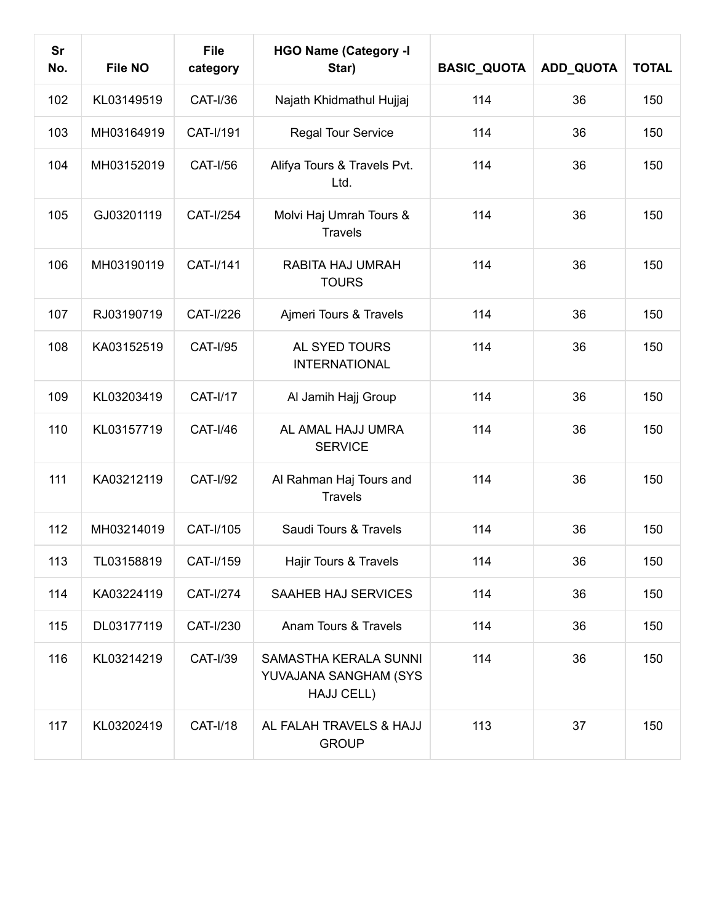| <b>Sr</b><br>No. | <b>File NO</b> | <b>File</b><br>category | <b>HGO Name (Category -I</b><br>Star)                        | <b>BASIC_QUOTA</b> | ADD_QUOTA | <b>TOTAL</b> |
|------------------|----------------|-------------------------|--------------------------------------------------------------|--------------------|-----------|--------------|
| 102              | KL03149519     | <b>CAT-I/36</b>         | Najath Khidmathul Hujjaj                                     | 114                | 36        | 150          |
| 103              | MH03164919     | CAT-I/191               | Regal Tour Service                                           | 114                | 36        | 150          |
| 104              | MH03152019     | <b>CAT-I/56</b>         | Alifya Tours & Travels Pvt.<br>Ltd.                          | 114                | 36        | 150          |
| 105              | GJ03201119     | <b>CAT-I/254</b>        | Molvi Haj Umrah Tours &<br><b>Travels</b>                    | 114                | 36        | 150          |
| 106              | MH03190119     | CAT-I/141               | RABITA HAJ UMRAH<br><b>TOURS</b>                             | 114                | 36        | 150          |
| 107              | RJ03190719     | CAT-I/226               | Ajmeri Tours & Travels                                       | 114                | 36        | 150          |
| 108              | KA03152519     | <b>CAT-I/95</b>         | AL SYED TOURS<br><b>INTERNATIONAL</b>                        | 114                | 36        | 150          |
| 109              | KL03203419     | <b>CAT-I/17</b>         | Al Jamih Hajj Group                                          | 114                | 36        | 150          |
| 110              | KL03157719     | <b>CAT-I/46</b>         | AL AMAL HAJJ UMRA<br><b>SERVICE</b>                          | 114                | 36        | 150          |
| 111              | KA03212119     | <b>CAT-I/92</b>         | Al Rahman Haj Tours and<br><b>Travels</b>                    | 114                | 36        | 150          |
| 112              | MH03214019     | CAT-I/105               | Saudi Tours & Travels                                        | 114                | 36        | 150          |
| 113              | TL03158819     | CAT-I/159               | Hajir Tours & Travels                                        | 114                | 36        | 150          |
| 114              | KA03224119     | CAT-I/274               | SAAHEB HAJ SERVICES                                          | 114                | 36        | 150          |
| 115              | DL03177119     | CAT-I/230               | Anam Tours & Travels                                         | 114                | 36        | 150          |
| 116              | KL03214219     | <b>CAT-I/39</b>         | SAMASTHA KERALA SUNNI<br>YUVAJANA SANGHAM (SYS<br>HAJJ CELL) | 114                | 36        | 150          |
| 117              | KL03202419     | <b>CAT-I/18</b>         | AL FALAH TRAVELS & HAJJ<br><b>GROUP</b>                      | 113                | 37        | 150          |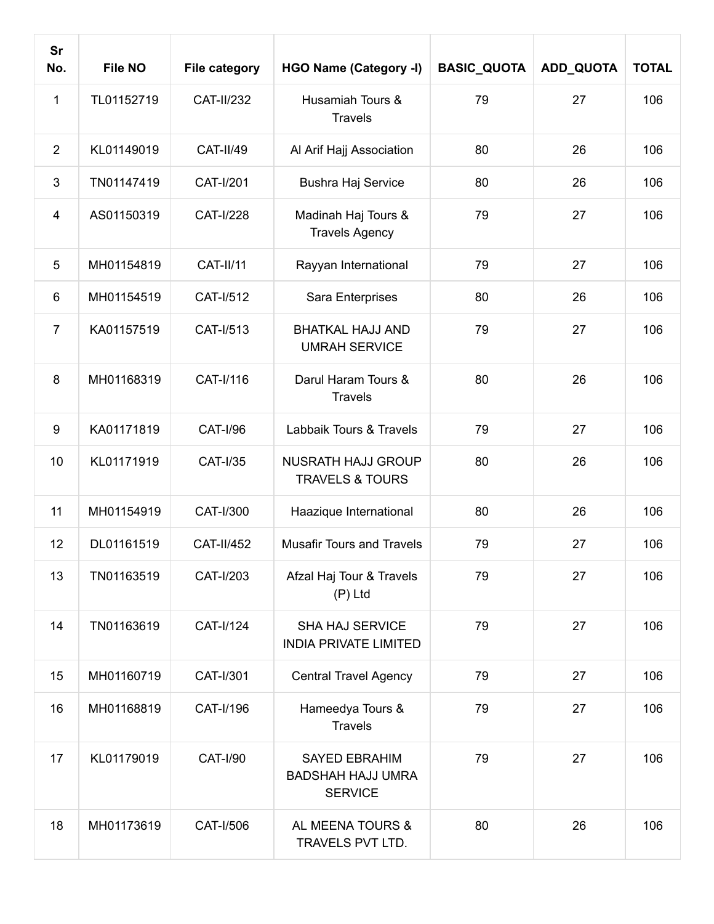| <b>Sr</b><br>No. | <b>File NO</b> | <b>File category</b> | <b>HGO Name (Category -I)</b>                                      | <b>BASIC_QUOTA</b> | ADD_QUOTA | <b>TOTAL</b> |
|------------------|----------------|----------------------|--------------------------------------------------------------------|--------------------|-----------|--------------|
| $\mathbf{1}$     | TL01152719     | <b>CAT-II/232</b>    | Husamiah Tours &<br><b>Travels</b>                                 | 79                 | 27        | 106          |
| 2                | KL01149019     | <b>CAT-II/49</b>     | Al Arif Hajj Association                                           | 80                 | 26        | 106          |
| 3                | TN01147419     | CAT-I/201            | Bushra Haj Service                                                 | 80                 | 26        | 106          |
| 4                | AS01150319     | <b>CAT-I/228</b>     | Madinah Haj Tours &<br><b>Travels Agency</b>                       | 79                 | 27        | 106          |
| 5                | MH01154819     | <b>CAT-II/11</b>     | Rayyan International                                               | 79                 | 27        | 106          |
| 6                | MH01154519     | CAT-I/512            | Sara Enterprises                                                   | 80                 | 26        | 106          |
| $\overline{7}$   | KA01157519     | CAT-I/513            | <b>BHATKAL HAJJ AND</b><br><b>UMRAH SERVICE</b>                    | 79                 | 27        | 106          |
| 8                | MH01168319     | CAT-I/116            | Darul Haram Tours &<br><b>Travels</b>                              | 80                 | 26        | 106          |
| 9                | KA01171819     | <b>CAT-I/96</b>      | Labbaik Tours & Travels                                            | 79                 | 27        | 106          |
| 10               | KL01171919     | <b>CAT-I/35</b>      | <b>NUSRATH HAJJ GROUP</b><br><b>TRAVELS &amp; TOURS</b>            | 80                 | 26        | 106          |
| 11               | MH01154919     | CAT-I/300            | Haazique International                                             | 80                 | 26        | 106          |
| 12               | DL01161519     | <b>CAT-II/452</b>    | <b>Musafir Tours and Travels</b>                                   | 79                 | 27        | 106          |
| 13               | TN01163519     | CAT-I/203            | Afzal Haj Tour & Travels<br>$(P)$ Ltd                              | 79                 | 27        | 106          |
| 14               | TN01163619     | CAT-I/124            | <b>SHA HAJ SERVICE</b><br><b>INDIA PRIVATE LIMITED</b>             | 79                 | 27        | 106          |
| 15               | MH01160719     | CAT-I/301            | <b>Central Travel Agency</b>                                       | 79                 | 27        | 106          |
| 16               | MH01168819     | CAT-I/196            | Hameedya Tours &<br><b>Travels</b>                                 | 79                 | 27        | 106          |
| 17               | KL01179019     | <b>CAT-I/90</b>      | <b>SAYED EBRAHIM</b><br><b>BADSHAH HAJJ UMRA</b><br><b>SERVICE</b> | 79                 | 27        | 106          |
| 18               | MH01173619     | CAT-I/506            | AL MEENA TOURS &<br>TRAVELS PVT LTD.                               | 80                 | 26        | 106          |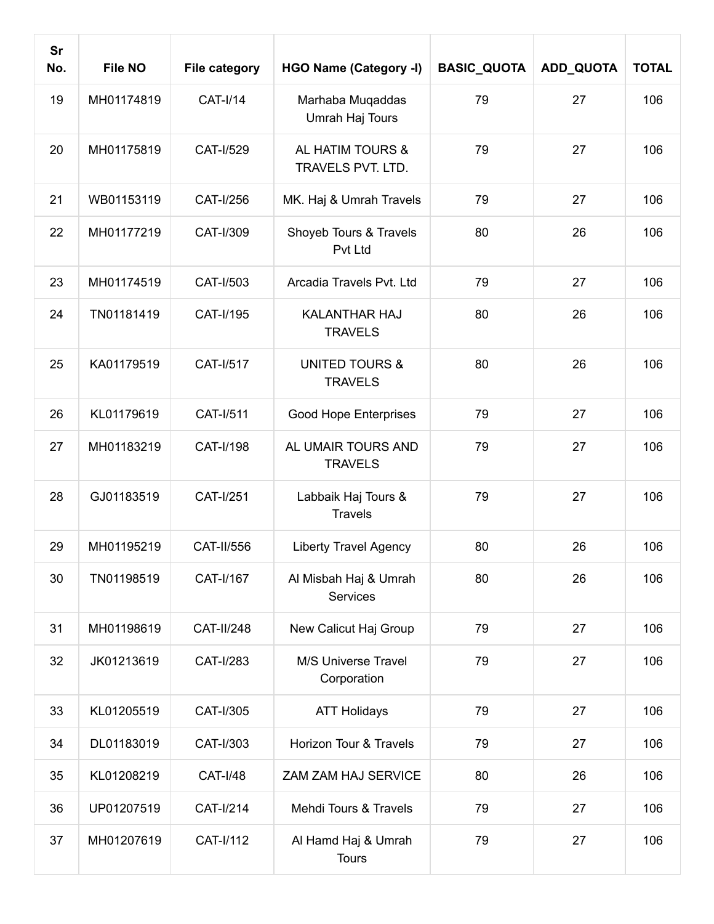| <b>Sr</b><br>No. | <b>File NO</b> | <b>File category</b> | <b>HGO Name (Category -I)</b>               | <b>BASIC_QUOTA</b> | ADD_QUOTA | <b>TOTAL</b> |
|------------------|----------------|----------------------|---------------------------------------------|--------------------|-----------|--------------|
| 19               | MH01174819     | <b>CAT-I/14</b>      | Marhaba Muqaddas<br>Umrah Haj Tours         | 79                 | 27        | 106          |
| 20               | MH01175819     | CAT-I/529            | AL HATIM TOURS &<br>TRAVELS PVT. LTD.       | 79                 | 27        | 106          |
| 21               | WB01153119     | CAT-I/256            | MK. Haj & Umrah Travels                     | 79                 | 27        | 106          |
| 22               | MH01177219     | CAT-I/309            | Shoyeb Tours & Travels<br>Pvt Ltd           | 80                 | 26        | 106          |
| 23               | MH01174519     | CAT-I/503            | Arcadia Travels Pvt. Ltd                    | 79                 | 27        | 106          |
| 24               | TN01181419     | CAT-I/195            | <b>KALANTHAR HAJ</b><br><b>TRAVELS</b>      | 80                 | 26        | 106          |
| 25               | KA01179519     | CAT-I/517            | <b>UNITED TOURS &amp;</b><br><b>TRAVELS</b> | 80                 | 26        | 106          |
| 26               | KL01179619     | <b>CAT-I/511</b>     | <b>Good Hope Enterprises</b>                | 79                 | 27        | 106          |
| 27               | MH01183219     | CAT-I/198            | AL UMAIR TOURS AND<br><b>TRAVELS</b>        | 79                 | 27        | 106          |
| 28               | GJ01183519     | <b>CAT-I/251</b>     | Labbaik Haj Tours &<br><b>Travels</b>       | 79                 | 27        | 106          |
| 29               | MH01195219     | <b>CAT-II/556</b>    | <b>Liberty Travel Agency</b>                | 80                 | 26        | 106          |
| 30               | TN01198519     | CAT-I/167            | Al Misbah Haj & Umrah<br>Services           | 80                 | 26        | 106          |
| 31               | MH01198619     | <b>CAT-II/248</b>    | New Calicut Haj Group                       | 79                 | 27        | 106          |
| 32               | JK01213619     | CAT-I/283            | M/S Universe Travel<br>Corporation          | 79                 | 27        | 106          |
| 33               | KL01205519     | CAT-I/305            | <b>ATT Holidays</b>                         | 79                 | 27        | 106          |
| 34               | DL01183019     | CAT-I/303            | Horizon Tour & Travels                      | 79                 | 27        | 106          |
| 35               | KL01208219     | <b>CAT-I/48</b>      | ZAM ZAM HAJ SERVICE                         | 80                 | 26        | 106          |
| 36               | UP01207519     | CAT-I/214            | Mehdi Tours & Travels                       | 79                 | 27        | 106          |
| 37               | MH01207619     | CAT-I/112            | Al Hamd Haj & Umrah<br><b>Tours</b>         | 79                 | 27        | 106          |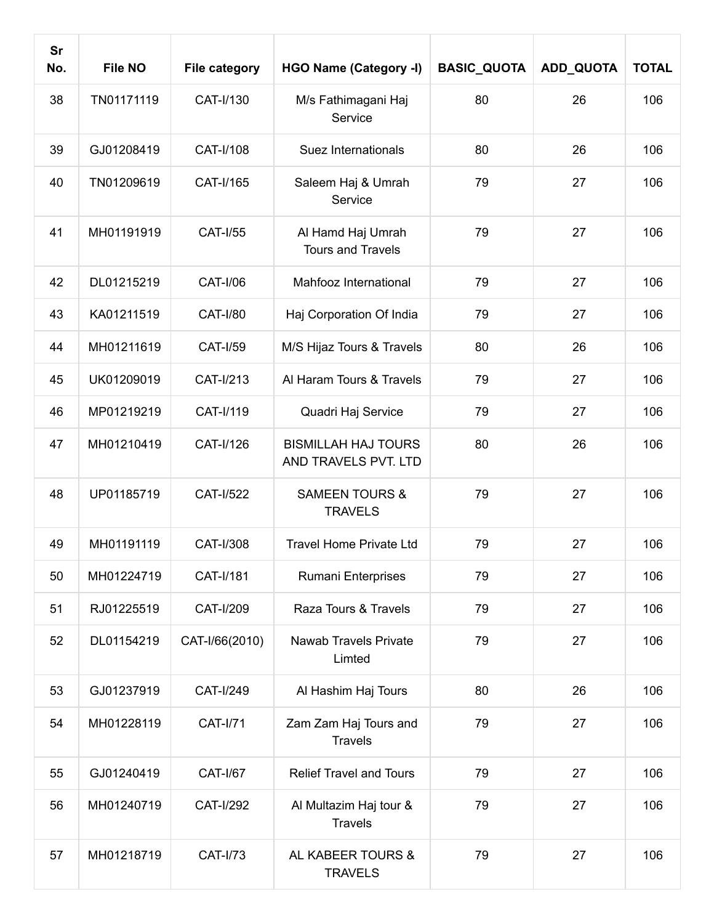| Sr<br>No. | <b>File NO</b> | <b>File category</b> | <b>HGO Name (Category -I)</b>                      | <b>BASIC_QUOTA</b> | ADD_QUOTA | <b>TOTAL</b> |
|-----------|----------------|----------------------|----------------------------------------------------|--------------------|-----------|--------------|
| 38        | TN01171119     | CAT-I/130            | M/s Fathimagani Haj<br>Service                     | 80                 | 26        | 106          |
| 39        | GJ01208419     | CAT-I/108            | Suez Internationals                                | 80                 | 26        | 106          |
| 40        | TN01209619     | CAT-I/165            | Saleem Haj & Umrah<br>Service                      | 79                 | 27        | 106          |
| 41        | MH01191919     | <b>CAT-I/55</b>      | Al Hamd Haj Umrah<br><b>Tours and Travels</b>      | 79                 | 27        | 106          |
| 42        | DL01215219     | <b>CAT-I/06</b>      | Mahfooz International                              | 79                 | 27        | 106          |
| 43        | KA01211519     | <b>CAT-I/80</b>      | Haj Corporation Of India                           | 79                 | 27        | 106          |
| 44        | MH01211619     | <b>CAT-I/59</b>      | M/S Hijaz Tours & Travels                          | 80                 | 26        | 106          |
| 45        | UK01209019     | CAT-I/213            | Al Haram Tours & Travels                           | 79                 | 27        | 106          |
| 46        | MP01219219     | CAT-I/119            | Quadri Haj Service                                 | 79                 | 27        | 106          |
| 47        | MH01210419     | CAT-I/126            | <b>BISMILLAH HAJ TOURS</b><br>AND TRAVELS PVT. LTD | 80                 | 26        | 106          |
| 48        | UP01185719     | <b>CAT-I/522</b>     | <b>SAMEEN TOURS &amp;</b><br><b>TRAVELS</b>        | 79                 | 27        | 106          |
| 49        | MH01191119     | CAT-I/308            | <b>Travel Home Private Ltd</b>                     | 79                 | 27        | 106          |
| 50        | MH01224719     | <b>CAT-I/181</b>     | Rumani Enterprises                                 | 79                 | 27        | 106          |
| 51        | RJ01225519     | CAT-I/209            | Raza Tours & Travels                               | 79                 | 27        | 106          |
| 52        | DL01154219     | CAT-I/66(2010)       | <b>Nawab Travels Private</b><br>Limted             | 79                 | 27        | 106          |
| 53        | GJ01237919     | CAT-I/249            | Al Hashim Haj Tours                                | 80                 | 26        | 106          |
| 54        | MH01228119     | <b>CAT-I/71</b>      | Zam Zam Haj Tours and<br><b>Travels</b>            | 79                 | 27        | 106          |
| 55        | GJ01240419     | <b>CAT-I/67</b>      | <b>Relief Travel and Tours</b>                     | 79                 | 27        | 106          |
| 56        | MH01240719     | <b>CAT-I/292</b>     | Al Multazim Haj tour &<br><b>Travels</b>           | 79                 | 27        | 106          |
| 57        | MH01218719     | <b>CAT-I/73</b>      | AL KABEER TOURS &<br><b>TRAVELS</b>                | 79                 | 27        | 106          |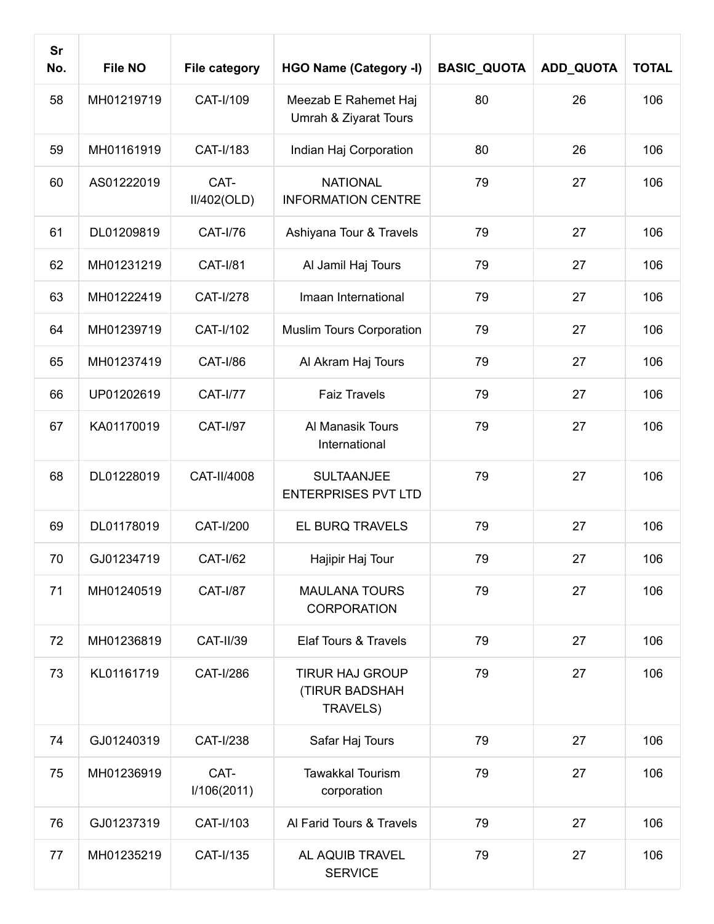| <b>Sr</b><br>No. | <b>File NO</b> | <b>File category</b> | <b>HGO Name (Category -I)</b>                        | <b>BASIC_QUOTA</b> | ADD_QUOTA | <b>TOTAL</b> |
|------------------|----------------|----------------------|------------------------------------------------------|--------------------|-----------|--------------|
| 58               | MH01219719     | CAT-I/109            | Meezab E Rahemet Haj<br>Umrah & Ziyarat Tours        | 80                 | 26        | 106          |
| 59               | MH01161919     | CAT-I/183            | Indian Haj Corporation                               | 80                 | 26        | 106          |
| 60               | AS01222019     | CAT-<br>II/402(OLD)  | <b>NATIONAL</b><br><b>INFORMATION CENTRE</b>         | 79                 | 27        | 106          |
| 61               | DL01209819     | <b>CAT-I/76</b>      | Ashiyana Tour & Travels                              | 79                 | 27        | 106          |
| 62               | MH01231219     | <b>CAT-I/81</b>      | Al Jamil Haj Tours                                   | 79                 | 27        | 106          |
| 63               | MH01222419     | CAT-I/278            | Imaan International                                  | 79                 | 27        | 106          |
| 64               | MH01239719     | CAT-I/102            | <b>Muslim Tours Corporation</b>                      | 79                 | 27        | 106          |
| 65               | MH01237419     | <b>CAT-I/86</b>      | Al Akram Haj Tours                                   | 79                 | 27        | 106          |
| 66               | UP01202619     | <b>CAT-I/77</b>      | <b>Faiz Travels</b>                                  | 79                 | 27        | 106          |
| 67               | KA01170019     | <b>CAT-I/97</b>      | Al Manasik Tours<br>International                    | 79                 | 27        | 106          |
| 68               | DL01228019     | CAT-II/4008          | <b>SULTAANJEE</b><br><b>ENTERPRISES PVT LTD</b>      | 79                 | 27        | 106          |
| 69               | DL01178019     | <b>CAT-I/200</b>     | EL BURQ TRAVELS                                      | 79                 | 27        | 106          |
| 70               | GJ01234719     | <b>CAT-I/62</b>      | Hajipir Haj Tour                                     | 79                 | 27        | 106          |
| 71               | MH01240519     | <b>CAT-I/87</b>      | <b>MAULANA TOURS</b><br><b>CORPORATION</b>           | 79                 | 27        | 106          |
| 72               | MH01236819     | <b>CAT-II/39</b>     | Elaf Tours & Travels                                 | 79                 | 27        | 106          |
| 73               | KL01161719     | CAT-I/286            | <b>TIRUR HAJ GROUP</b><br>(TIRUR BADSHAH<br>TRAVELS) | 79                 | 27        | 106          |
| 74               | GJ01240319     | CAT-I/238            | Safar Haj Tours                                      | 79                 | 27        | 106          |
| 75               | MH01236919     | CAT-<br>I/106(2011)  | <b>Tawakkal Tourism</b><br>corporation               | 79                 | 27        | 106          |
| 76               | GJ01237319     | CAT-I/103            | Al Farid Tours & Travels                             | 79                 | 27        | 106          |
| 77               | MH01235219     | CAT-I/135            | AL AQUIB TRAVEL<br><b>SERVICE</b>                    | 79                 | 27        | 106          |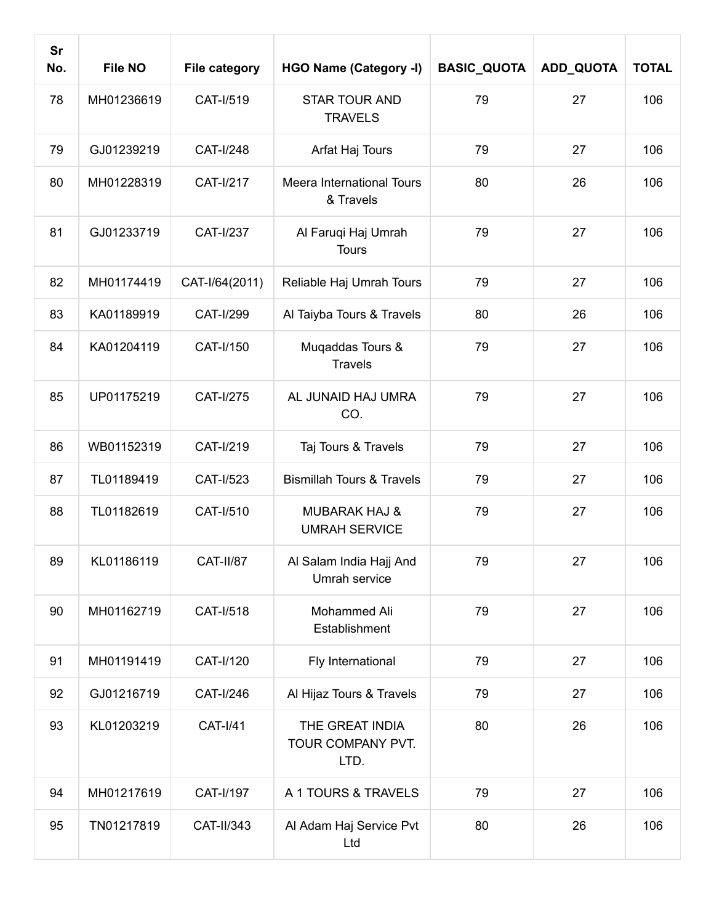| <b>Sr</b><br>No. | <b>File NO</b> | <b>File category</b> | <b>HGO Name (Category -I)</b>                    | <b>BASIC_QUOTA</b> | ADD_QUOTA | <b>TOTAL</b> |
|------------------|----------------|----------------------|--------------------------------------------------|--------------------|-----------|--------------|
| 78               | MH01236619     | CAT-I/519            | <b>STAR TOUR AND</b><br><b>TRAVELS</b>           | 79                 | 27        | 106          |
| 79               | GJ01239219     | CAT-I/248            | Arfat Haj Tours                                  | 79                 | 27        | 106          |
| 80               | MH01228319     | <b>CAT-I/217</b>     | Meera International Tours<br>& Travels           | 80                 | 26        | 106          |
| 81               | GJ01233719     | <b>CAT-I/237</b>     | Al Faruqi Haj Umrah<br><b>Tours</b>              | 79                 | 27        | 106          |
| 82               | MH01174419     | CAT-I/64(2011)       | Reliable Haj Umrah Tours                         | 79                 | 27        | 106          |
| 83               | KA01189919     | <b>CAT-I/299</b>     | Al Taiyba Tours & Travels                        | 80                 | 26        | 106          |
| 84               | KA01204119     | CAT-I/150            | Muqaddas Tours &<br><b>Travels</b>               | 79                 | 27        | 106          |
| 85               | UP01175219     | CAT-I/275            | AL JUNAID HAJ UMRA<br>CO.                        | 79                 | 27        | 106          |
| 86               | WB01152319     | CAT-I/219            | Taj Tours & Travels                              | 79                 | 27        | 106          |
| 87               | TL01189419     | CAT-I/523            | <b>Bismillah Tours &amp; Travels</b>             | 79                 | 27        | 106          |
| 88               | TL01182619     | CAT-I/510            | <b>MUBARAK HAJ &amp;</b><br><b>UMRAH SERVICE</b> | 79                 | 27        | 106          |
| 89               | KL01186119     | CAT-II/87            | Al Salam India Hajj And<br>Umrah service         | 79                 | 27        | 106          |
| 90               | MH01162719     | CAT-I/518            | Mohammed Ali<br>Establishment                    | 79                 | 27        | 106          |
| 91               | MH01191419     | CAT-I/120            | Fly International                                | 79                 | 27        | 106          |
| 92               | GJ01216719     | CAT-I/246            | Al Hijaz Tours & Travels                         | 79                 | 27        | 106          |
| 93               | KL01203219     | <b>CAT-I/41</b>      | THE GREAT INDIA<br>TOUR COMPANY PVT.<br>LTD.     | 80                 | 26        | 106          |
| 94               | MH01217619     | CAT-I/197            | A 1 TOURS & TRAVELS                              | 79                 | 27        | 106          |
| 95               | TN01217819     | CAT-II/343           | Al Adam Haj Service Pvt<br>Ltd                   | 80                 | 26        | 106          |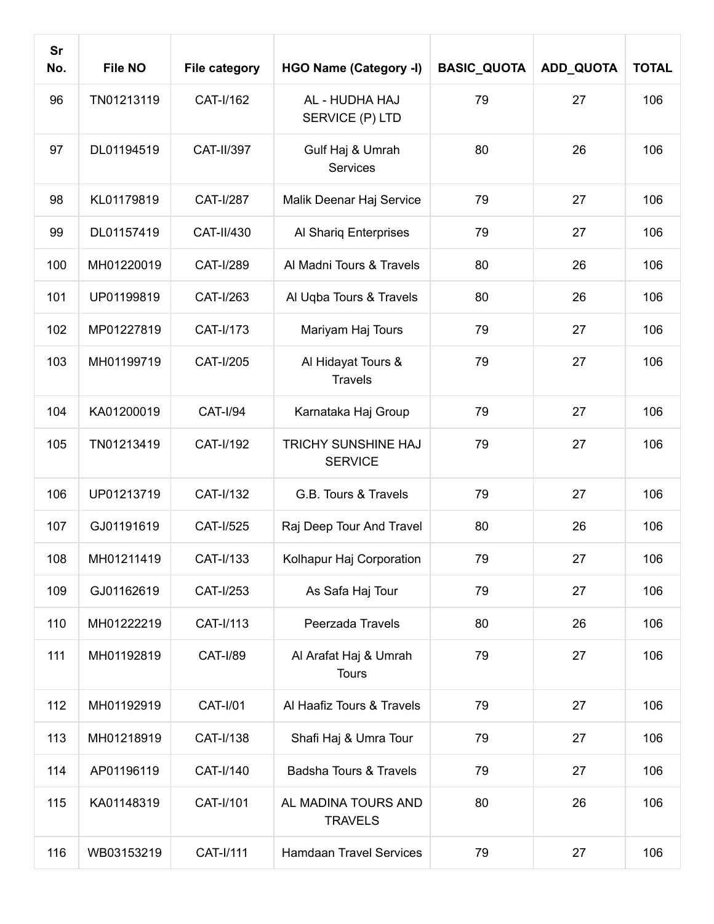| Sr<br>No. | <b>File NO</b> | <b>File category</b> | <b>HGO Name (Category -I)</b>         | <b>BASIC_QUOTA</b> | ADD_QUOTA | <b>TOTAL</b> |
|-----------|----------------|----------------------|---------------------------------------|--------------------|-----------|--------------|
| 96        | TN01213119     | CAT-I/162            | AL - HUDHA HAJ<br>SERVICE (P) LTD     | 79                 | 27        | 106          |
| 97        | DL01194519     | CAT-II/397           | Gulf Haj & Umrah<br>Services          | 80                 | 26        | 106          |
| 98        | KL01179819     | <b>CAT-I/287</b>     | Malik Deenar Haj Service              | 79                 | 27        | 106          |
| 99        | DL01157419     | CAT-II/430           | Al Shariq Enterprises                 | 79                 | 27        | 106          |
| 100       | MH01220019     | CAT-I/289            | Al Madni Tours & Travels              | 80                 | 26        | 106          |
| 101       | UP01199819     | CAT-I/263            | Al Uqba Tours & Travels               | 80                 | 26        | 106          |
| 102       | MP01227819     | CAT-I/173            | Mariyam Haj Tours                     | 79                 | 27        | 106          |
| 103       | MH01199719     | CAT-I/205            | Al Hidayat Tours &<br><b>Travels</b>  | 79                 | 27        | 106          |
| 104       | KA01200019     | <b>CAT-I/94</b>      | Karnataka Haj Group                   | 79                 | 27        | 106          |
| 105       | TN01213419     | CAT-I/192            | TRICHY SUNSHINE HAJ<br><b>SERVICE</b> | 79                 | 27        | 106          |
| 106       | UP01213719     | CAT-I/132            | G.B. Tours & Travels                  | 79                 | 27        | 106          |
| 107       | GJ01191619     | CAT-I/525            | Raj Deep Tour And Travel              | 80                 | 26        | 106          |
| 108       | MH01211419     | CAT-I/133            | Kolhapur Haj Corporation              | 79                 | 27        | 106          |
| 109       | GJ01162619     | CAT-I/253            | As Safa Haj Tour                      | 79                 | 27        | 106          |
| 110       | MH01222219     | CAT-I/113            | Peerzada Travels                      | 80                 | 26        | 106          |
| 111       | MH01192819     | <b>CAT-I/89</b>      | Al Arafat Haj & Umrah<br><b>Tours</b> | 79                 | 27        | 106          |
| 112       | MH01192919     | <b>CAT-I/01</b>      | Al Haafiz Tours & Travels             | 79                 | 27        | 106          |
| 113       | MH01218919     | CAT-I/138            | Shafi Haj & Umra Tour                 | 79                 | 27        | 106          |
| 114       | AP01196119     | CAT-I/140            | <b>Badsha Tours &amp; Travels</b>     | 79                 | 27        | 106          |
| 115       | KA01148319     | CAT-I/101            | AL MADINA TOURS AND<br><b>TRAVELS</b> | 80                 | 26        | 106          |
| 116       | WB03153219     | CAT-I/111            | <b>Hamdaan Travel Services</b>        | 79                 | 27        | 106          |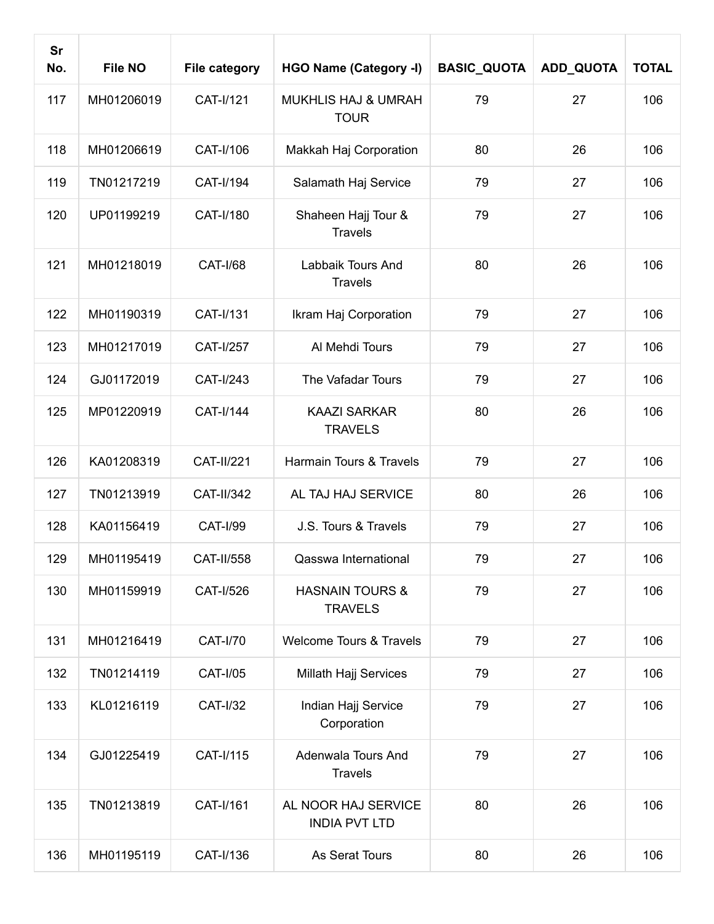| <b>Sr</b><br>No. | <b>File NO</b> | <b>File category</b> | <b>HGO Name (Category -I)</b>                 | <b>BASIC_QUOTA</b> | <b>ADD_QUOTA</b> | <b>TOTAL</b> |
|------------------|----------------|----------------------|-----------------------------------------------|--------------------|------------------|--------------|
| 117              | MH01206019     | CAT-I/121            | <b>MUKHLIS HAJ &amp; UMRAH</b><br><b>TOUR</b> | 79                 | 27               | 106          |
| 118              | MH01206619     | CAT-I/106            | Makkah Haj Corporation                        | 80                 | 26               | 106          |
| 119              | TN01217219     | CAT-I/194            | Salamath Haj Service                          | 79                 | 27               | 106          |
| 120              | UP01199219     | CAT-I/180            | Shaheen Hajj Tour &<br><b>Travels</b>         | 79                 | 27               | 106          |
| 121              | MH01218019     | <b>CAT-I/68</b>      | Labbaik Tours And<br><b>Travels</b>           | 80                 | 26               | 106          |
| 122              | MH01190319     | CAT-I/131            | Ikram Haj Corporation                         | 79                 | 27               | 106          |
| 123              | MH01217019     | <b>CAT-I/257</b>     | Al Mehdi Tours                                | 79                 | 27               | 106          |
| 124              | GJ01172019     | CAT-I/243            | The Vafadar Tours                             | 79                 | 27               | 106          |
| 125              | MP01220919     | CAT-I/144            | <b>KAAZI SARKAR</b><br><b>TRAVELS</b>         | 80                 | 26               | 106          |
| 126              | KA01208319     | <b>CAT-II/221</b>    | Harmain Tours & Travels                       | 79                 | 27               | 106          |
| 127              | TN01213919     | CAT-II/342           | AL TAJ HAJ SERVICE                            | 80                 | 26               | 106          |
| 128              | KA01156419     | <b>CAT-I/99</b>      | J.S. Tours & Travels                          | 79                 | 27               | 106          |
| 129              | MH01195419     | CAT-II/558           | Qasswa International                          | 79                 | 27               | 106          |
| 130              | MH01159919     | CAT-I/526            | <b>HASNAIN TOURS &amp;</b><br><b>TRAVELS</b>  | 79                 | 27               | 106          |
| 131              | MH01216419     | <b>CAT-I/70</b>      | <b>Welcome Tours &amp; Travels</b>            | 79                 | 27               | 106          |
| 132              | TN01214119     | <b>CAT-I/05</b>      | Millath Hajj Services                         | 79                 | 27               | 106          |
| 133              | KL01216119     | <b>CAT-I/32</b>      | Indian Hajj Service<br>Corporation            | 79                 | 27               | 106          |
| 134              | GJ01225419     | CAT-I/115            | Adenwala Tours And<br><b>Travels</b>          | 79                 | 27               | 106          |
| 135              | TN01213819     | CAT-I/161            | AL NOOR HAJ SERVICE<br><b>INDIA PVT LTD</b>   | 80                 | 26               | 106          |
| 136              | MH01195119     | CAT-I/136            | As Serat Tours                                | 80                 | 26               | 106          |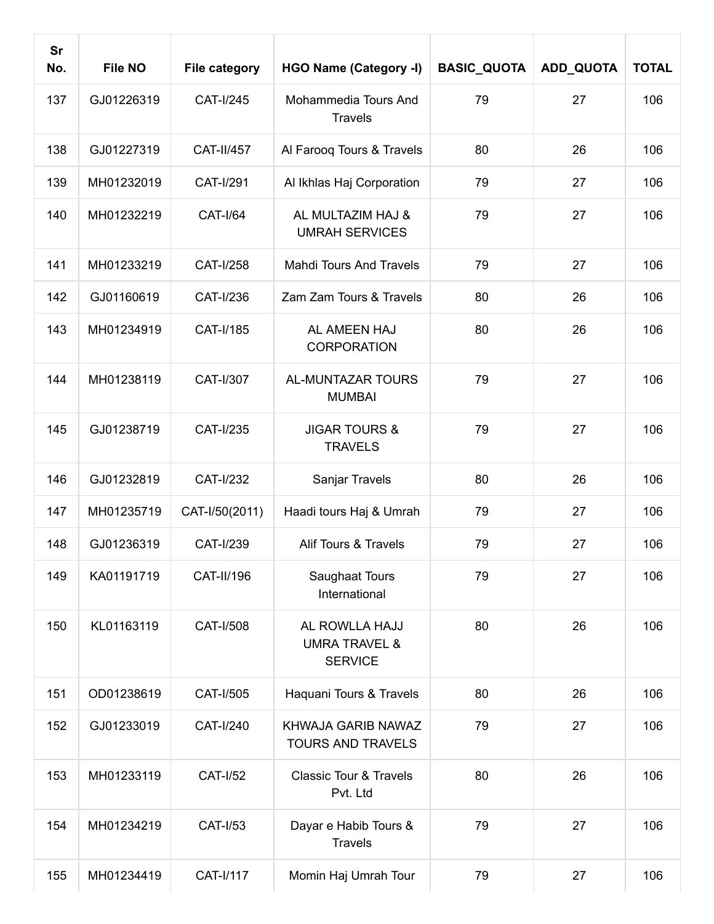| <b>Sr</b><br>No. | <b>File NO</b> | <b>File category</b> | <b>HGO Name (Category -I)</b>                                | <b>BASIC_QUOTA</b> | ADD_QUOTA | <b>TOTAL</b> |
|------------------|----------------|----------------------|--------------------------------------------------------------|--------------------|-----------|--------------|
| 137              | GJ01226319     | CAT-I/245            | Mohammedia Tours And<br><b>Travels</b>                       | 79                 | 27        | 106          |
| 138              | GJ01227319     | <b>CAT-II/457</b>    | Al Farooq Tours & Travels                                    | 80                 | 26        | 106          |
| 139              | MH01232019     | <b>CAT-I/291</b>     | Al Ikhlas Haj Corporation                                    | 79                 | 27        | 106          |
| 140              | MH01232219     | <b>CAT-I/64</b>      | AL MULTAZIM HAJ &<br><b>UMRAH SERVICES</b>                   | 79                 | 27        | 106          |
| 141              | MH01233219     | CAT-I/258            | <b>Mahdi Tours And Travels</b>                               | 79                 | 27        | 106          |
| 142              | GJ01160619     | CAT-I/236            | Zam Zam Tours & Travels                                      | 80                 | 26        | 106          |
| 143              | MH01234919     | CAT-I/185            | AL AMEEN HAJ<br><b>CORPORATION</b>                           | 80                 | 26        | 106          |
| 144              | MH01238119     | CAT-I/307            | <b>AL-MUNTAZAR TOURS</b><br><b>MUMBAI</b>                    | 79                 | 27        | 106          |
| 145              | GJ01238719     | CAT-I/235            | <b>JIGAR TOURS &amp;</b><br><b>TRAVELS</b>                   | 79                 | 27        | 106          |
| 146              | GJ01232819     | CAT-I/232            | Sanjar Travels                                               | 80                 | 26        | 106          |
| 147              | MH01235719     | CAT-I/50(2011)       | Haadi tours Haj & Umrah                                      | 79                 | 27        | 106          |
| 148              | GJ01236319     | CAT-I/239            | <b>Alif Tours &amp; Travels</b>                              | 79                 | 27        | 106          |
| 149              | KA01191719     | CAT-II/196           | Saughaat Tours<br>International                              | 79                 | 27        | 106          |
| 150              | KL01163119     | CAT-I/508            | AL ROWLLA HAJJ<br><b>UMRA TRAVEL &amp;</b><br><b>SERVICE</b> | 80                 | 26        | 106          |
| 151              | OD01238619     | CAT-I/505            | Haquani Tours & Travels                                      | 80                 | 26        | 106          |
| 152              | GJ01233019     | CAT-I/240            | KHWAJA GARIB NAWAZ<br><b>TOURS AND TRAVELS</b>               | 79                 | 27        | 106          |
| 153              | MH01233119     | <b>CAT-I/52</b>      | <b>Classic Tour &amp; Travels</b><br>Pvt. Ltd                | 80                 | 26        | 106          |
| 154              | MH01234219     | <b>CAT-I/53</b>      | Dayar e Habib Tours &<br><b>Travels</b>                      | 79                 | 27        | 106          |
| 155              | MH01234419     | CAT-I/117            | Momin Haj Umrah Tour                                         | 79                 | 27        | 106          |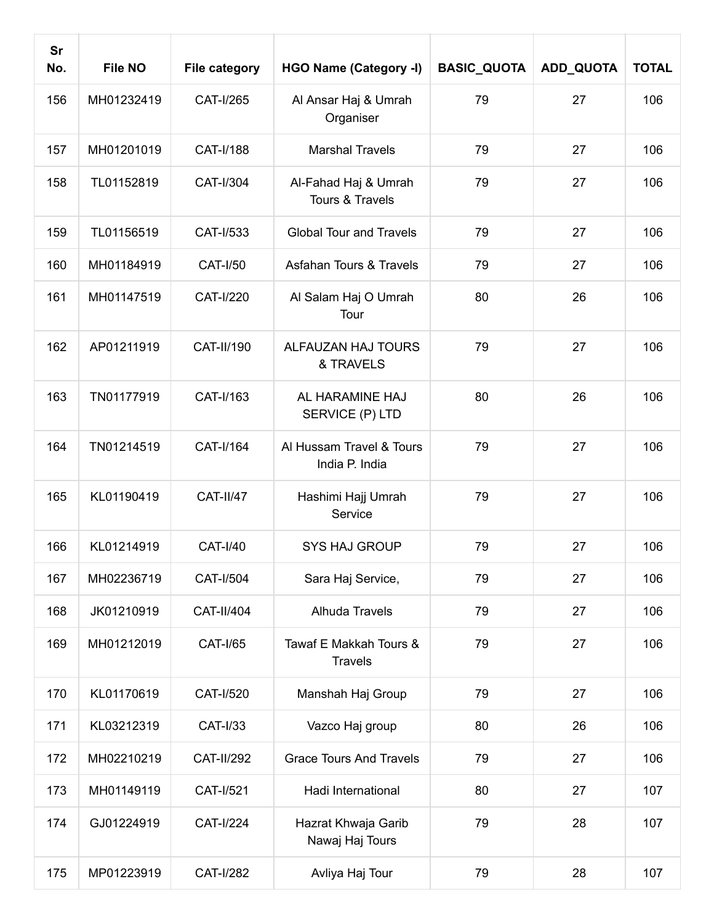| <b>Sr</b><br>No. | <b>File NO</b> | <b>File category</b> | <b>HGO Name (Category -I)</b>              | <b>BASIC_QUOTA</b> | ADD_QUOTA | <b>TOTAL</b> |
|------------------|----------------|----------------------|--------------------------------------------|--------------------|-----------|--------------|
| 156              | MH01232419     | CAT-I/265            | Al Ansar Haj & Umrah<br>Organiser          | 79                 | 27        | 106          |
| 157              | MH01201019     | CAT-I/188            | <b>Marshal Travels</b>                     | 79                 | 27        | 106          |
| 158              | TL01152819     | CAT-I/304            | Al-Fahad Haj & Umrah<br>Tours & Travels    | 79                 | 27        | 106          |
| 159              | TL01156519     | CAT-I/533            | <b>Global Tour and Travels</b>             | 79                 | 27        | 106          |
| 160              | MH01184919     | <b>CAT-I/50</b>      | <b>Asfahan Tours &amp; Travels</b>         | 79                 | 27        | 106          |
| 161              | MH01147519     | <b>CAT-I/220</b>     | Al Salam Haj O Umrah<br>Tour               | 80                 | 26        | 106          |
| 162              | AP01211919     | CAT-II/190           | ALFAUZAN HAJ TOURS<br>& TRAVELS            | 79                 | 27        | 106          |
| 163              | TN01177919     | CAT-I/163            | AL HARAMINE HAJ<br>SERVICE (P) LTD         | 80                 | 26        | 106          |
| 164              | TN01214519     | CAT-I/164            | Al Hussam Travel & Tours<br>India P. India | 79                 | 27        | 106          |
| 165              | KL01190419     | <b>CAT-II/47</b>     | Hashimi Hajj Umrah<br>Service              | 79                 | 27        | 106          |
| 166              | KL01214919     | <b>CAT-I/40</b>      | <b>SYS HAJ GROUP</b>                       | 79                 | 27        | 106          |
| 167              | MH02236719     | CAT-I/504            | Sara Haj Service,                          | 79                 | 27        | 106          |
| 168              | JK01210919     | <b>CAT-II/404</b>    | Alhuda Travels                             | 79                 | 27        | 106          |
| 169              | MH01212019     | <b>CAT-I/65</b>      | Tawaf E Makkah Tours &<br><b>Travels</b>   | 79                 | 27        | 106          |
| 170              | KL01170619     | CAT-I/520            | Manshah Haj Group                          | 79                 | 27        | 106          |
| 171              | KL03212319     | <b>CAT-I/33</b>      | Vazco Haj group                            | 80                 | 26        | 106          |
| 172              | MH02210219     | <b>CAT-II/292</b>    | <b>Grace Tours And Travels</b>             | 79                 | 27        | 106          |
| 173              | MH01149119     | <b>CAT-I/521</b>     | Hadi International                         | 80                 | 27        | 107          |
| 174              | GJ01224919     | <b>CAT-I/224</b>     | Hazrat Khwaja Garib<br>Nawaj Haj Tours     | 79                 | 28        | 107          |
| 175              | MP01223919     | <b>CAT-I/282</b>     | Avliya Haj Tour                            | 79                 | 28        | 107          |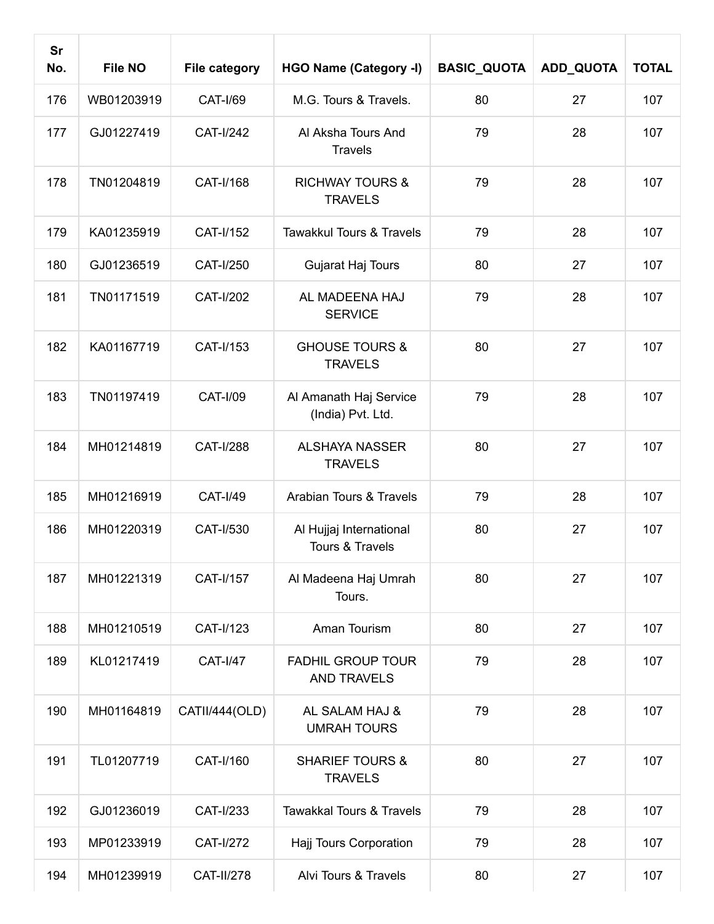| <b>Sr</b><br>No. | <b>File NO</b> | <b>File category</b> | <b>HGO Name (Category -I)</b>                  | <b>BASIC_QUOTA</b> | ADD_QUOTA | <b>TOTAL</b> |
|------------------|----------------|----------------------|------------------------------------------------|--------------------|-----------|--------------|
| 176              | WB01203919     | <b>CAT-I/69</b>      | M.G. Tours & Travels.                          | 80                 | 27        | 107          |
| 177              | GJ01227419     | <b>CAT-I/242</b>     | Al Aksha Tours And<br><b>Travels</b>           | 79                 | 28        | 107          |
| 178              | TN01204819     | CAT-I/168            | <b>RICHWAY TOURS &amp;</b><br><b>TRAVELS</b>   | 79                 | 28        | 107          |
| 179              | KA01235919     | CAT-I/152            | Tawakkul Tours & Travels                       | 79                 | 28        | 107          |
| 180              | GJ01236519     | CAT-I/250            | Gujarat Haj Tours                              | 80                 | 27        | 107          |
| 181              | TN01171519     | <b>CAT-I/202</b>     | AL MADEENA HAJ<br><b>SERVICE</b>               | 79                 | 28        | 107          |
| 182              | KA01167719     | CAT-I/153            | <b>GHOUSE TOURS &amp;</b><br><b>TRAVELS</b>    | 80                 | 27        | 107          |
| 183              | TN01197419     | <b>CAT-I/09</b>      | Al Amanath Haj Service<br>(India) Pvt. Ltd.    | 79                 | 28        | 107          |
| 184              | MH01214819     | <b>CAT-I/288</b>     | <b>ALSHAYA NASSER</b><br><b>TRAVELS</b>        | 80                 | 27        | 107          |
| 185              | MH01216919     | <b>CAT-I/49</b>      | Arabian Tours & Travels                        | 79                 | 28        | 107          |
| 186              | MH01220319     | CAT-I/530            | Al Hujjaj International<br>Tours & Travels     | 80                 | 27        | 107          |
| 187              | MH01221319     | CAT-I/157            | Al Madeena Haj Umrah<br>Tours.                 | 80                 | 27        | 107          |
| 188              | MH01210519     | CAT-I/123            | Aman Tourism                                   | 80                 | 27        | 107          |
| 189              | KL01217419     | <b>CAT-I/47</b>      | <b>FADHIL GROUP TOUR</b><br><b>AND TRAVELS</b> | 79                 | 28        | 107          |
| 190              | MH01164819     | CATII/444(OLD)       | AL SALAM HAJ &<br><b>UMRAH TOURS</b>           | 79                 | 28        | 107          |
| 191              | TL01207719     | CAT-I/160            | <b>SHARIEF TOURS &amp;</b><br><b>TRAVELS</b>   | 80                 | 27        | 107          |
| 192              | GJ01236019     | CAT-I/233            | <b>Tawakkal Tours &amp; Travels</b>            | 79                 | 28        | 107          |
| 193              | MP01233919     | CAT-I/272            | Hajj Tours Corporation                         | 79                 | 28        | 107          |
| 194              | MH01239919     | <b>CAT-II/278</b>    | Alvi Tours & Travels                           | 80                 | 27        | 107          |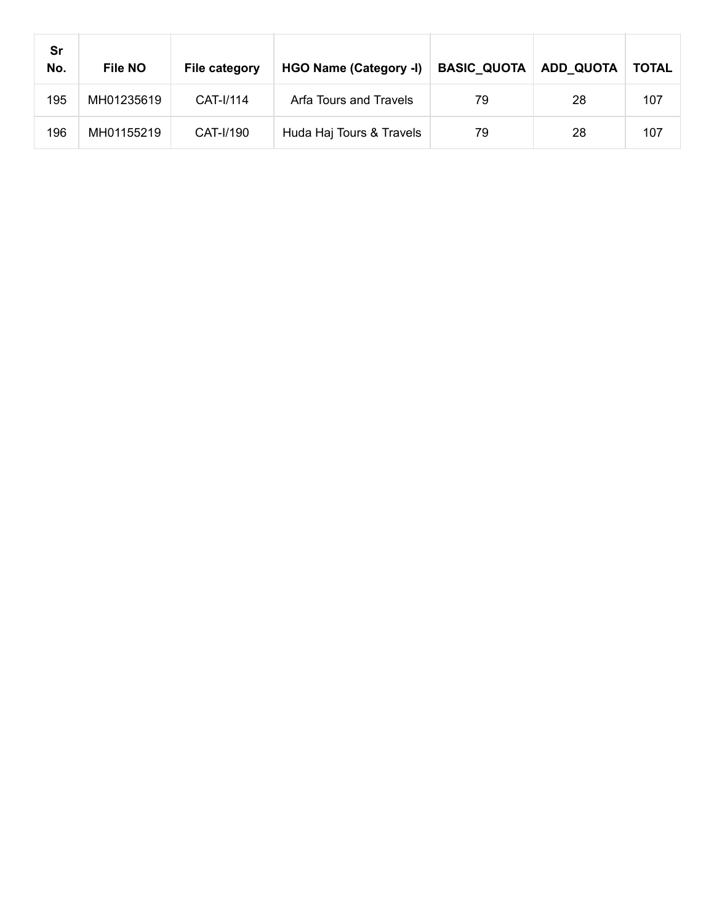| Sr<br>No. | <b>File NO</b> | File category | HGO Name (Category -I)   | <b>BASIC_QUOTA</b> | <b>ADD QUOTA</b> | <b>TOTAL</b> |
|-----------|----------------|---------------|--------------------------|--------------------|------------------|--------------|
| 195       | MH01235619     | CAT-I/114     | Arfa Tours and Travels   | 79                 | 28               | 107          |
| 196       | MH01155219     | CAT-I/190     | Huda Haj Tours & Travels | 79                 | 28               | 107          |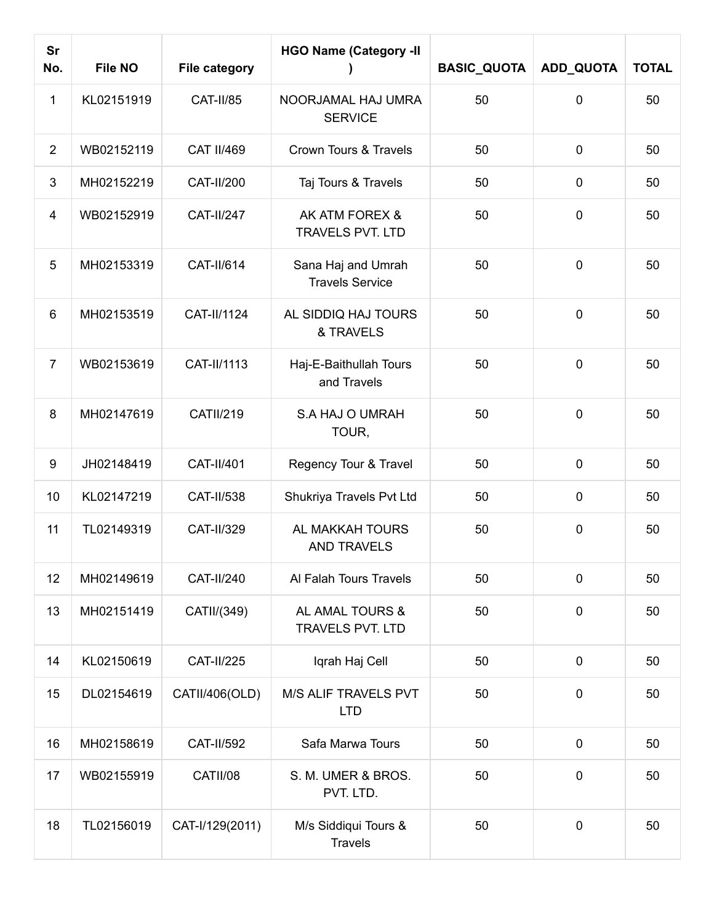| <b>Sr</b><br>No. | <b>File NO</b> | <b>File category</b> | <b>HGO Name (Category -II</b>                | <b>BASIC_QUOTA</b> | <b>ADD_QUOTA</b> | <b>TOTAL</b> |
|------------------|----------------|----------------------|----------------------------------------------|--------------------|------------------|--------------|
| 1                | KL02151919     | CAT-II/85            | NOORJAMAL HAJ UMRA<br><b>SERVICE</b>         | 50                 | $\mathbf 0$      | 50           |
| $\overline{2}$   | WB02152119     | <b>CAT II/469</b>    | Crown Tours & Travels                        | 50                 | $\pmb{0}$        | 50           |
| 3                | MH02152219     | CAT-II/200           | Taj Tours & Travels                          | 50                 | $\mathbf 0$      | 50           |
| 4                | WB02152919     | <b>CAT-II/247</b>    | AK ATM FOREX &<br><b>TRAVELS PVT. LTD</b>    | 50                 | $\mathbf 0$      | 50           |
| 5                | MH02153319     | CAT-II/614           | Sana Haj and Umrah<br><b>Travels Service</b> | 50                 | $\mathbf 0$      | 50           |
| $6\phantom{1}$   | MH02153519     | CAT-II/1124          | AL SIDDIQ HAJ TOURS<br>& TRAVELS             | 50                 | $\mathbf 0$      | 50           |
| $\overline{7}$   | WB02153619     | CAT-II/1113          | Haj-E-Baithullah Tours<br>and Travels        | 50                 | 0                | 50           |
| 8                | MH02147619     | <b>CATII/219</b>     | S.A HAJ O UMRAH<br>TOUR,                     | 50                 | $\mathbf 0$      | 50           |
| 9                | JH02148419     | CAT-II/401           | Regency Tour & Travel                        | 50                 | $\pmb{0}$        | 50           |
| 10               | KL02147219     | CAT-II/538           | Shukriya Travels Pvt Ltd                     | 50                 | $\mathbf 0$      | 50           |
| 11               | TL02149319     | CAT-II/329           | AL MAKKAH TOURS<br><b>AND TRAVELS</b>        | 50                 | $\mathbf 0$      | 50           |
| 12               | MH02149619     | CAT-II/240           | Al Falah Tours Travels                       | 50                 | $\mathbf 0$      | 50           |
| 13               | MH02151419     | CATII/(349)          | AL AMAL TOURS &<br><b>TRAVELS PVT. LTD</b>   | 50                 | $\mathbf 0$      | 50           |
| 14               | KL02150619     | <b>CAT-II/225</b>    | Iqrah Haj Cell                               | 50                 | $\mathbf 0$      | 50           |
| 15               | DL02154619     | CATII/406(OLD)       | M/S ALIF TRAVELS PVT<br><b>LTD</b>           | 50                 | $\mathbf 0$      | 50           |
| 16               | MH02158619     | <b>CAT-II/592</b>    | Safa Marwa Tours                             | 50                 | $\pmb{0}$        | 50           |
| 17               | WB02155919     | CATII/08             | S. M. UMER & BROS.<br>PVT. LTD.              | 50                 | $\mathbf 0$      | 50           |
| 18               | TL02156019     | CAT-I/129(2011)      | M/s Siddiqui Tours &<br><b>Travels</b>       | 50                 | $\mathbf 0$      | 50           |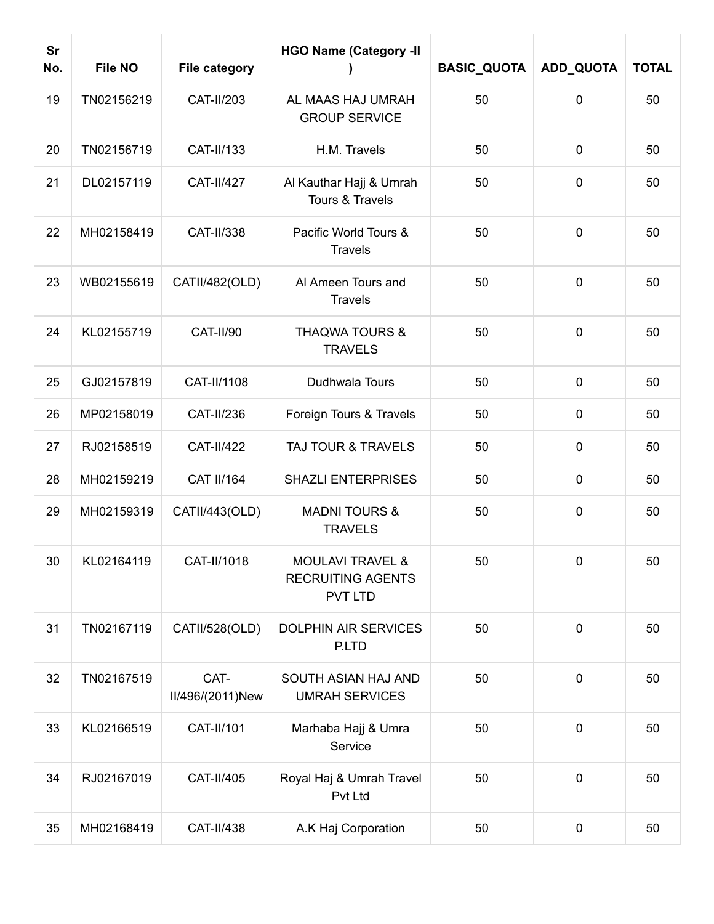| <b>Sr</b><br>No. | <b>File NO</b> | <b>File category</b>     | <b>HGO Name (Category -II</b>                                             | <b>BASIC_QUOTA</b> | <b>ADD_QUOTA</b> | <b>TOTAL</b> |
|------------------|----------------|--------------------------|---------------------------------------------------------------------------|--------------------|------------------|--------------|
| 19               | TN02156219     | CAT-II/203               | AL MAAS HAJ UMRAH<br><b>GROUP SERVICE</b>                                 | 50                 | 0                | 50           |
| 20               | TN02156719     | CAT-II/133               | H.M. Travels                                                              | 50                 | $\pmb{0}$        | 50           |
| 21               | DL02157119     | <b>CAT-II/427</b>        | Al Kauthar Hajj & Umrah<br>Tours & Travels                                | 50                 | $\mathbf 0$      | 50           |
| 22               | MH02158419     | CAT-II/338               | Pacific World Tours &<br><b>Travels</b>                                   | 50                 | $\mathbf 0$      | 50           |
| 23               | WB02155619     | CATII/482(OLD)           | Al Ameen Tours and<br><b>Travels</b>                                      | 50                 | 0                | 50           |
| 24               | KL02155719     | <b>CAT-II/90</b>         | <b>THAQWA TOURS &amp;</b><br><b>TRAVELS</b>                               | 50                 | $\mathbf 0$      | 50           |
| 25               | GJ02157819     | CAT-II/1108              | Dudhwala Tours                                                            | 50                 | $\pmb{0}$        | 50           |
| 26               | MP02158019     | CAT-II/236               | Foreign Tours & Travels                                                   | 50                 | $\mathbf 0$      | 50           |
| 27               | RJ02158519     | <b>CAT-II/422</b>        | TAJ TOUR & TRAVELS                                                        | 50                 | $\mathbf 0$      | 50           |
| 28               | MH02159219     | <b>CAT II/164</b>        | <b>SHAZLI ENTERPRISES</b>                                                 | 50                 | $\pmb{0}$        | 50           |
| 29               | MH02159319     | CATII/443(OLD)           | <b>MADNI TOURS &amp;</b><br><b>TRAVELS</b>                                | 50                 | $\mathbf 0$      | 50           |
| 30               | KL02164119     | CAT-II/1018              | <b>MOULAVI TRAVEL &amp;</b><br><b>RECRUITING AGENTS</b><br><b>PVT LTD</b> | 50                 | $\pmb{0}$        | 50           |
| 31               | TN02167119     | CATII/528(OLD)           | <b>DOLPHIN AIR SERVICES</b><br>P.LTD                                      | 50                 | $\mathbf 0$      | 50           |
| 32               | TN02167519     | CAT-<br>II/496/(2011)New | SOUTH ASIAN HAJ AND<br><b>UMRAH SERVICES</b>                              | 50                 | $\mathbf 0$      | 50           |
| 33               | KL02166519     | CAT-II/101               | Marhaba Hajj & Umra<br>Service                                            | 50                 | $\mathbf 0$      | 50           |
| 34               | RJ02167019     | CAT-II/405               | Royal Haj & Umrah Travel<br>Pvt Ltd                                       | 50                 | $\mathbf 0$      | 50           |
| 35               | MH02168419     | CAT-II/438               | A.K Haj Corporation                                                       | 50                 | 0                | 50           |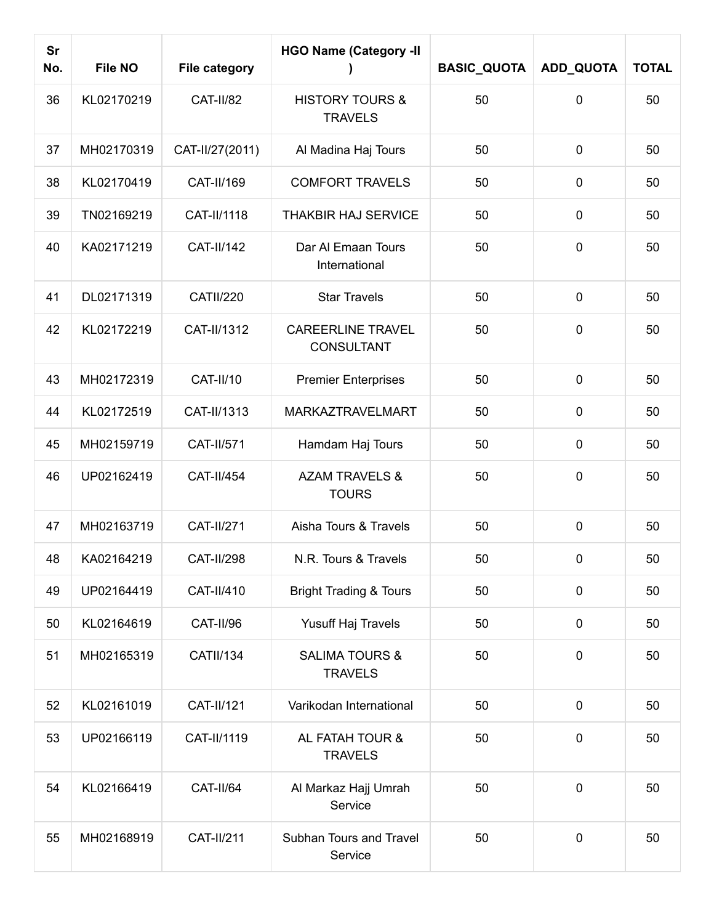| <b>Sr</b><br>No. | <b>File NO</b> | <b>File category</b> | <b>HGO Name (Category -II</b>                 | <b>BASIC_QUOTA</b> | ADD_QUOTA   | <b>TOTAL</b> |
|------------------|----------------|----------------------|-----------------------------------------------|--------------------|-------------|--------------|
| 36               | KL02170219     | <b>CAT-II/82</b>     | <b>HISTORY TOURS &amp;</b><br><b>TRAVELS</b>  | 50                 | 0           | 50           |
| 37               | MH02170319     | CAT-II/27(2011)      | Al Madina Haj Tours                           | 50                 | $\mathbf 0$ | 50           |
| 38               | KL02170419     | CAT-II/169           | <b>COMFORT TRAVELS</b>                        | 50                 | $\mathbf 0$ | 50           |
| 39               | TN02169219     | CAT-II/1118          | THAKBIR HAJ SERVICE                           | 50                 | $\mathbf 0$ | 50           |
| 40               | KA02171219     | <b>CAT-II/142</b>    | Dar Al Emaan Tours<br>International           | 50                 | $\mathbf 0$ | 50           |
| 41               | DL02171319     | <b>CATII/220</b>     | <b>Star Travels</b>                           | 50                 | $\mathbf 0$ | 50           |
| 42               | KL02172219     | CAT-II/1312          | <b>CAREERLINE TRAVEL</b><br><b>CONSULTANT</b> | 50                 | $\mathbf 0$ | 50           |
| 43               | MH02172319     | <b>CAT-II/10</b>     | <b>Premier Enterprises</b>                    | 50                 | $\mathbf 0$ | 50           |
| 44               | KL02172519     | CAT-II/1313          | <b>MARKAZTRAVELMART</b>                       | 50                 | $\mathbf 0$ | 50           |
| 45               | MH02159719     | CAT-II/571           | Hamdam Haj Tours                              | 50                 | $\mathbf 0$ | 50           |
| 46               | UP02162419     | <b>CAT-II/454</b>    | <b>AZAM TRAVELS &amp;</b><br><b>TOURS</b>     | 50                 | $\mathbf 0$ | 50           |
| 47               | MH02163719     | <b>CAT-II/271</b>    | Aisha Tours & Travels                         | 50                 | $\mathbf 0$ | 50           |
| 48               | KA02164219     | <b>CAT-II/298</b>    | N.R. Tours & Travels                          | 50                 | $\mathbf 0$ | 50           |
| 49               | UP02164419     | CAT-II/410           | <b>Bright Trading &amp; Tours</b>             | 50                 | $\mathbf 0$ | 50           |
| 50               | KL02164619     | CAT-II/96            | Yusuff Haj Travels                            | 50                 | $\mathbf 0$ | 50           |
| 51               | MH02165319     | <b>CATII/134</b>     | <b>SALIMA TOURS &amp;</b><br><b>TRAVELS</b>   | 50                 | $\mathbf 0$ | 50           |
| 52               | KL02161019     | <b>CAT-II/121</b>    | Varikodan International                       | 50                 | $\mathbf 0$ | 50           |
| 53               | UP02166119     | CAT-II/1119          | AL FATAH TOUR &<br><b>TRAVELS</b>             | 50                 | $\mathbf 0$ | 50           |
| 54               | KL02166419     | CAT-II/64            | Al Markaz Hajj Umrah<br>Service               | 50                 | $\mathbf 0$ | 50           |
| 55               | MH02168919     | <b>CAT-II/211</b>    | Subhan Tours and Travel<br>Service            | 50                 | $\pmb{0}$   | 50           |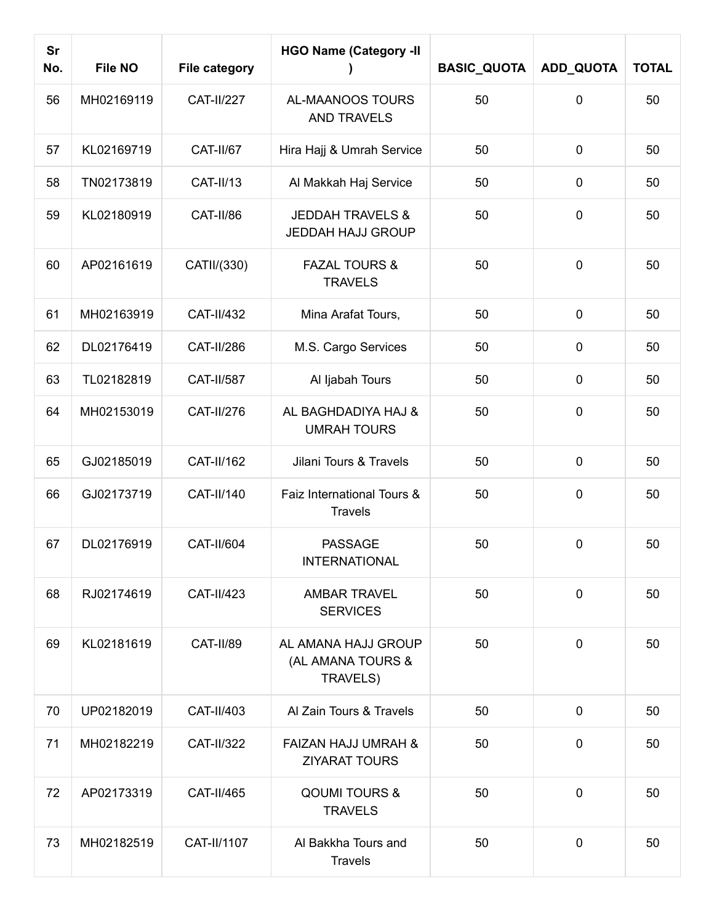| <b>Sr</b><br>No. | <b>File NO</b> | <b>File category</b> | <b>HGO Name (Category -II</b>                           | <b>BASIC_QUOTA</b> | ADD_QUOTA      | <b>TOTAL</b> |
|------------------|----------------|----------------------|---------------------------------------------------------|--------------------|----------------|--------------|
| 56               | MH02169119     | <b>CAT-II/227</b>    | AL-MAANOOS TOURS<br><b>AND TRAVELS</b>                  | 50                 | 0              | 50           |
| 57               | KL02169719     | CAT-II/67            | Hira Hajj & Umrah Service                               | 50                 | $\pmb{0}$      | 50           |
| 58               | TN02173819     | <b>CAT-II/13</b>     | Al Makkah Haj Service                                   | 50                 | $\mathbf 0$    | 50           |
| 59               | KL02180919     | CAT-II/86            | <b>JEDDAH TRAVELS &amp;</b><br><b>JEDDAH HAJJ GROUP</b> | 50                 | $\mathbf 0$    | 50           |
| 60               | AP02161619     | CATII/(330)          | <b>FAZAL TOURS &amp;</b><br><b>TRAVELS</b>              | 50                 | $\mathbf 0$    | 50           |
| 61               | MH02163919     | CAT-II/432           | Mina Arafat Tours,                                      | 50                 | $\mathbf 0$    | 50           |
| 62               | DL02176419     | <b>CAT-II/286</b>    | M.S. Cargo Services                                     | 50                 | $\mathbf 0$    | 50           |
| 63               | TL02182819     | <b>CAT-II/587</b>    | Al ljabah Tours                                         | 50                 | $\mathbf 0$    | 50           |
| 64               | MH02153019     | CAT-II/276           | AL BAGHDADIYA HAJ &<br><b>UMRAH TOURS</b>               | 50                 | $\mathbf 0$    | 50           |
| 65               | GJ02185019     | CAT-II/162           | Jilani Tours & Travels                                  | 50                 | $\mathbf 0$    | 50           |
| 66               | GJ02173719     | CAT-II/140           | Faiz International Tours &<br><b>Travels</b>            | 50                 | $\pmb{0}$      | 50           |
| 67               | DL02176919     | <b>CAT-II/604</b>    | <b>PASSAGE</b><br><b>INTERNATIONAL</b>                  | 50                 | 0              | 50           |
| 68               | RJ02174619     | CAT-II/423           | <b>AMBAR TRAVEL</b><br><b>SERVICES</b>                  | 50                 | $\overline{0}$ | 50           |
| 69               | KL02181619     | CAT-II/89            | AL AMANA HAJJ GROUP<br>(AL AMANA TOURS &<br>TRAVELS)    | 50                 | $\mathbf 0$    | 50           |
| 70               | UP02182019     | CAT-II/403           | Al Zain Tours & Travels                                 | 50                 | $\mathbf 0$    | 50           |
| 71               | MH02182219     | <b>CAT-II/322</b>    | <b>FAIZAN HAJJ UMRAH &amp;</b><br><b>ZIYARAT TOURS</b>  | 50                 | $\mathbf 0$    | 50           |
| 72               | AP02173319     | CAT-II/465           | <b>QOUMI TOURS &amp;</b><br><b>TRAVELS</b>              | 50                 | $\mathbf 0$    | 50           |
| 73               | MH02182519     | CAT-II/1107          | Al Bakkha Tours and<br><b>Travels</b>                   | 50                 | $\mathbf 0$    | 50           |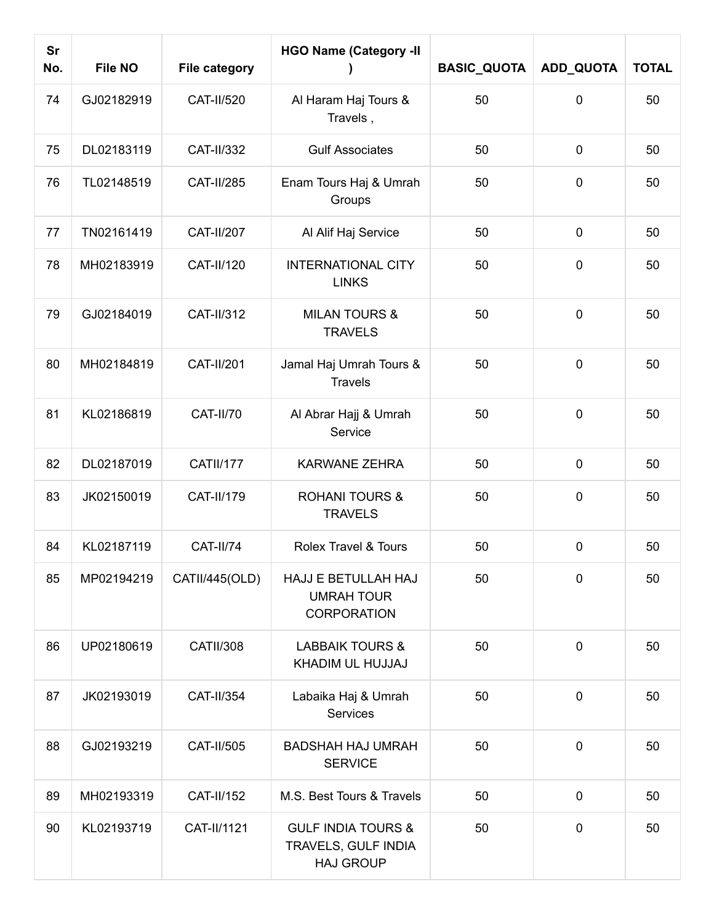| <b>Sr</b><br>No. | <b>File NO</b> | <b>File category</b> | <b>HGO Name (Category -II</b>                                            | <b>BASIC_QUOTA</b> | ADD_QUOTA   | <b>TOTAL</b> |
|------------------|----------------|----------------------|--------------------------------------------------------------------------|--------------------|-------------|--------------|
| 74               | GJ02182919     | CAT-II/520           | Al Haram Haj Tours &<br>Travels,                                         | 50                 | 0           | 50           |
| 75               | DL02183119     | CAT-II/332           | <b>Gulf Associates</b>                                                   | 50                 | $\pmb{0}$   | 50           |
| 76               | TL02148519     | <b>CAT-II/285</b>    | Enam Tours Haj & Umrah<br>Groups                                         | 50                 | $\mathbf 0$ | 50           |
| 77               | TN02161419     | <b>CAT-II/207</b>    | Al Alif Haj Service                                                      | 50                 | $\mathbf 0$ | 50           |
| 78               | MH02183919     | CAT-II/120           | <b>INTERNATIONAL CITY</b><br><b>LINKS</b>                                | 50                 | $\mathbf 0$ | 50           |
| 79               | GJ02184019     | CAT-II/312           | <b>MILAN TOURS &amp;</b><br><b>TRAVELS</b>                               | 50                 | $\mathbf 0$ | 50           |
| 80               | MH02184819     | <b>CAT-II/201</b>    | Jamal Haj Umrah Tours &<br><b>Travels</b>                                | 50                 | $\mathbf 0$ | 50           |
| 81               | KL02186819     | CAT-II/70            | Al Abrar Hajj & Umrah<br>Service                                         | 50                 | $\mathbf 0$ | 50           |
| 82               | DL02187019     | CATII/177            | <b>KARWANE ZEHRA</b>                                                     | 50                 | $\mathbf 0$ | 50           |
| 83               | JK02150019     | CAT-II/179           | <b>ROHANI TOURS &amp;</b><br><b>TRAVELS</b>                              | 50                 | $\mathbf 0$ | 50           |
| 84               | KL02187119     | <b>CAT-II/74</b>     | Rolex Travel & Tours                                                     | 50                 | $\mathbf 0$ | 50           |
| 85               | MP02194219     | CATII/445(OLD)       | HAJJ E BETULLAH HAJ<br><b>UMRAH TOUR</b><br><b>CORPORATION</b>           | 50                 | 0           | 50           |
| 86               | UP02180619     | <b>CATII/308</b>     | <b>LABBAIK TOURS &amp;</b><br>KHADIM UL HUJJAJ                           | 50                 | $\mathbf 0$ | 50           |
| 87               | JK02193019     | CAT-II/354           | Labaika Haj & Umrah<br><b>Services</b>                                   | 50                 | $\mathbf 0$ | 50           |
| 88               | GJ02193219     | CAT-II/505           | <b>BADSHAH HAJ UMRAH</b><br><b>SERVICE</b>                               | 50                 | $\mathbf 0$ | 50           |
| 89               | MH02193319     | CAT-II/152           | M.S. Best Tours & Travels                                                | 50                 | $\mathbf 0$ | 50           |
| 90               | KL02193719     | CAT-II/1121          | <b>GULF INDIA TOURS &amp;</b><br>TRAVELS, GULF INDIA<br><b>HAJ GROUP</b> | 50                 | $\mathbf 0$ | 50           |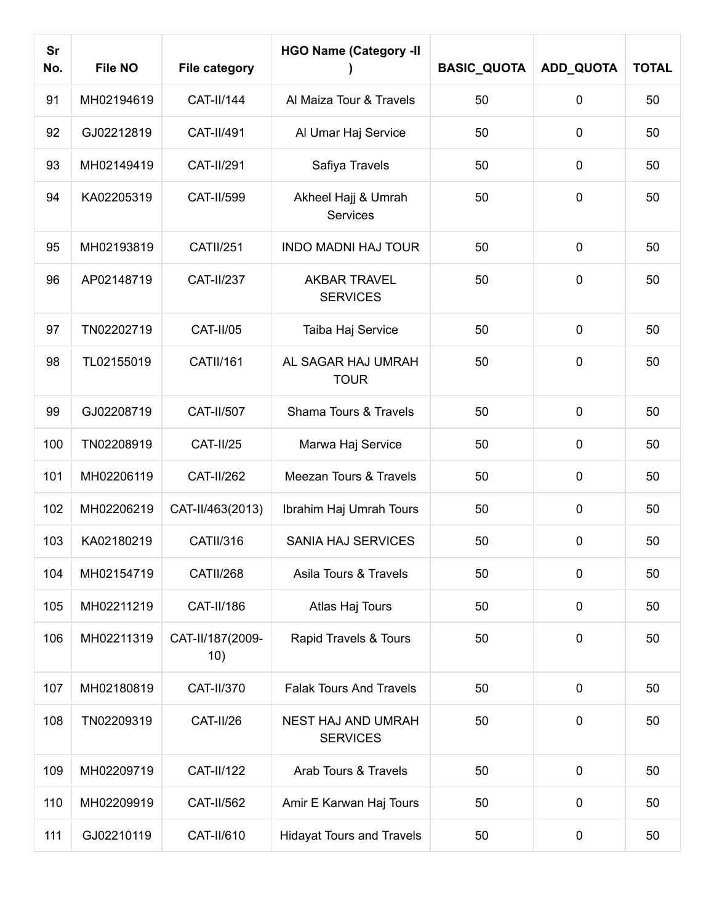| <b>Sr</b><br>No. | <b>File NO</b> | <b>File category</b>    | <b>HGO Name (Category -II</b>          | <b>BASIC_QUOTA</b> | ADD_QUOTA   | <b>TOTAL</b> |
|------------------|----------------|-------------------------|----------------------------------------|--------------------|-------------|--------------|
| 91               | MH02194619     | CAT-II/144              | Al Maiza Tour & Travels                | 50                 | $\mathbf 0$ | 50           |
| 92               | GJ02212819     | CAT-II/491              | Al Umar Haj Service                    | 50                 | 0           | 50           |
| 93               | MH02149419     | <b>CAT-II/291</b>       | Safiya Travels                         | 50                 | $\pmb{0}$   | 50           |
| 94               | KA02205319     | CAT-II/599              | Akheel Hajj & Umrah<br>Services        | 50                 | $\mathbf 0$ | 50           |
| 95               | MH02193819     | <b>CATII/251</b>        | <b>INDO MADNI HAJ TOUR</b>             | 50                 | $\mathbf 0$ | 50           |
| 96               | AP02148719     | <b>CAT-II/237</b>       | <b>AKBAR TRAVEL</b><br><b>SERVICES</b> | 50                 | $\mathbf 0$ | 50           |
| 97               | TN02202719     | <b>CAT-II/05</b>        | Taiba Haj Service                      | 50                 | $\mathbf 0$ | 50           |
| 98               | TL02155019     | <b>CATII/161</b>        | AL SAGAR HAJ UMRAH<br><b>TOUR</b>      | 50                 | $\mathbf 0$ | 50           |
| 99               | GJ02208719     | CAT-II/507              | Shama Tours & Travels                  | 50                 | $\mathbf 0$ | 50           |
| 100              | TN02208919     | <b>CAT-II/25</b>        | Marwa Haj Service                      | 50                 | $\pmb{0}$   | 50           |
| 101              | MH02206119     | <b>CAT-II/262</b>       | Meezan Tours & Travels                 | 50                 | $\mathbf 0$ | 50           |
| 102              | MH02206219     | CAT-II/463(2013)        | Ibrahim Haj Umrah Tours                | 50                 | $\pmb{0}$   | 50           |
| 103              | KA02180219     | CATII/316               | <b>SANIA HAJ SERVICES</b>              | 50                 | $\pmb{0}$   | 50           |
| 104              | MH02154719     | CATII/268               | Asila Tours & Travels                  | 50                 | $\pmb{0}$   | 50           |
| 105              | MH02211219     | CAT-II/186              | Atlas Haj Tours                        | 50                 | $\pmb{0}$   | 50           |
| 106              | MH02211319     | CAT-II/187(2009-<br>10) | Rapid Travels & Tours                  | 50                 | $\mathbf 0$ | 50           |
| 107              | MH02180819     | CAT-II/370              | <b>Falak Tours And Travels</b>         | 50                 | $\pmb{0}$   | 50           |
| 108              | TN02209319     | CAT-II/26               | NEST HAJ AND UMRAH<br><b>SERVICES</b>  | 50                 | $\mathbf 0$ | 50           |
| 109              | MH02209719     | <b>CAT-II/122</b>       | Arab Tours & Travels                   | 50                 | $\mathbf 0$ | 50           |
| 110              | MH02209919     | <b>CAT-II/562</b>       | Amir E Karwan Haj Tours                | 50                 | $\pmb{0}$   | 50           |
| 111              | GJ02210119     | CAT-II/610              | <b>Hidayat Tours and Travels</b>       | 50                 | $\pmb{0}$   | 50           |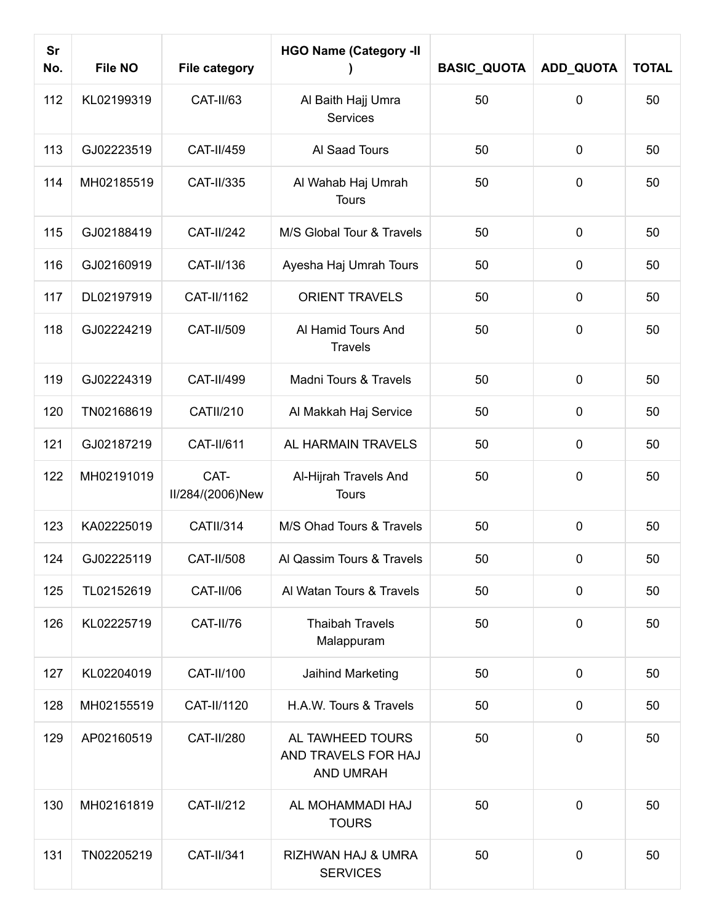| <b>Sr</b><br>No. | <b>File NO</b> | <b>File category</b>     | <b>HGO Name (Category -II</b>                               | <b>BASIC_QUOTA</b> | ADD_QUOTA   | <b>TOTAL</b> |
|------------------|----------------|--------------------------|-------------------------------------------------------------|--------------------|-------------|--------------|
| 112              | KL02199319     | CAT-II/63                | Al Baith Hajj Umra<br><b>Services</b>                       | 50                 | 0           | 50           |
| 113              | GJ02223519     | <b>CAT-II/459</b>        | Al Saad Tours                                               | 50                 | $\pmb{0}$   | 50           |
| 114              | MH02185519     | CAT-II/335               | Al Wahab Haj Umrah<br><b>Tours</b>                          | 50                 | $\mathbf 0$ | 50           |
| 115              | GJ02188419     | <b>CAT-II/242</b>        | M/S Global Tour & Travels                                   | 50                 | $\pmb{0}$   | 50           |
| 116              | GJ02160919     | CAT-II/136               | Ayesha Haj Umrah Tours                                      | 50                 | $\mathbf 0$ | 50           |
| 117              | DL02197919     | CAT-II/1162              | <b>ORIENT TRAVELS</b>                                       | 50                 | $\mathbf 0$ | 50           |
| 118              | GJ02224219     | CAT-II/509               | Al Hamid Tours And<br><b>Travels</b>                        | 50                 | $\mathbf 0$ | 50           |
| 119              | GJ02224319     | CAT-II/499               | Madni Tours & Travels                                       | 50                 | $\pmb{0}$   | 50           |
| 120              | TN02168619     | <b>CATII/210</b>         | Al Makkah Haj Service                                       | 50                 | $\mathbf 0$ | 50           |
| 121              | GJ02187219     | CAT-II/611               | AL HARMAIN TRAVELS                                          | 50                 | $\pmb{0}$   | 50           |
| 122              | MH02191019     | CAT-<br>II/284/(2006)New | Al-Hijrah Travels And<br><b>Tours</b>                       | 50                 | $\mathbf 0$ | 50           |
| 123              | KA02225019     | <b>CATII/314</b>         | M/S Ohad Tours & Travels                                    | 50                 | $\mathbf 0$ | 50           |
| 124              | GJ02225119     | CAT-II/508               | Al Qassim Tours & Travels                                   | 50                 | $\mathbf 0$ | 50           |
| 125              | TL02152619     | CAT-II/06                | Al Watan Tours & Travels                                    | 50                 | $\mathbf 0$ | 50           |
| 126              | KL02225719     | CAT-II/76                | <b>Thaibah Travels</b><br>Malappuram                        | 50                 | $\mathbf 0$ | 50           |
| 127              | KL02204019     | CAT-II/100               | Jaihind Marketing                                           | 50                 | $\mathbf 0$ | 50           |
| 128              | MH02155519     | CAT-II/1120              | H.A.W. Tours & Travels                                      | 50                 | $\mathbf 0$ | 50           |
| 129              | AP02160519     | CAT-II/280               | AL TAWHEED TOURS<br>AND TRAVELS FOR HAJ<br><b>AND UMRAH</b> | 50                 | $\mathbf 0$ | 50           |
| 130              | MH02161819     | <b>CAT-II/212</b>        | AL MOHAMMADI HAJ<br><b>TOURS</b>                            | 50                 | $\mathbf 0$ | 50           |
| 131              | TN02205219     | CAT-II/341               | RIZHWAN HAJ & UMRA<br><b>SERVICES</b>                       | 50                 | $\mathbf 0$ | 50           |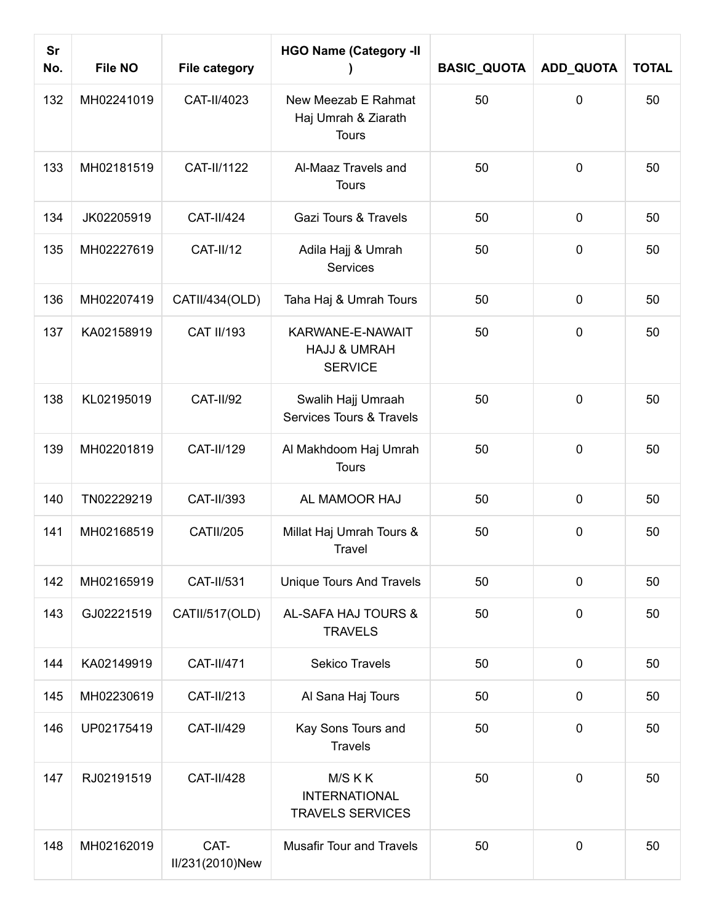| <b>Sr</b><br>No. | <b>File NO</b> | <b>File category</b>    | <b>HGO Name (Category -II</b>                                 | <b>BASIC_QUOTA</b> | ADD_QUOTA   | <b>TOTAL</b> |
|------------------|----------------|-------------------------|---------------------------------------------------------------|--------------------|-------------|--------------|
| 132              | MH02241019     | CAT-II/4023             | New Meezab E Rahmat<br>Haj Umrah & Ziarath<br><b>Tours</b>    | 50                 | $\mathbf 0$ | 50           |
| 133              | MH02181519     | CAT-II/1122             | Al-Maaz Travels and<br><b>Tours</b>                           | 50                 | $\mathbf 0$ | 50           |
| 134              | JK02205919     | <b>CAT-II/424</b>       | Gazi Tours & Travels                                          | 50                 | $\mathbf 0$ | 50           |
| 135              | MH02227619     | <b>CAT-II/12</b>        | Adila Hajj & Umrah<br>Services                                | 50                 | $\mathbf 0$ | 50           |
| 136              | MH02207419     | CATII/434(OLD)          | Taha Haj & Umrah Tours                                        | 50                 | $\mathbf 0$ | 50           |
| 137              | KA02158919     | <b>CAT II/193</b>       | KARWANE-E-NAWAIT<br><b>HAJJ &amp; UMRAH</b><br><b>SERVICE</b> | 50                 | $\mathbf 0$ | 50           |
| 138              | KL02195019     | <b>CAT-II/92</b>        | Swalih Hajj Umraah<br>Services Tours & Travels                | 50                 | $\mathbf 0$ | 50           |
| 139              | MH02201819     | CAT-II/129              | Al Makhdoom Haj Umrah<br><b>Tours</b>                         | 50                 | $\mathbf 0$ | 50           |
| 140              | TN02229219     | CAT-II/393              | AL MAMOOR HAJ                                                 | 50                 | $\mathbf 0$ | 50           |
| 141              | MH02168519     | <b>CATII/205</b>        | Millat Haj Umrah Tours &<br>Travel                            | 50                 | $\mathbf 0$ | 50           |
| 142              | MH02165919     | CAT-II/531              | <b>Unique Tours And Travels</b>                               | 50                 | $\mathbf 0$ | 50           |
| 143              | GJ02221519     | CATII/517(OLD)          | AL-SAFA HAJ TOURS &<br><b>TRAVELS</b>                         | 50                 | $\mathbf 0$ | 50           |
| 144              | KA02149919     | CAT-II/471              | <b>Sekico Travels</b>                                         | 50                 | $\mathbf 0$ | 50           |
| 145              | MH02230619     | CAT-II/213              | Al Sana Haj Tours                                             | 50                 | $\mathbf 0$ | 50           |
| 146              | UP02175419     | CAT-II/429              | Kay Sons Tours and<br><b>Travels</b>                          | 50                 | $\mathbf 0$ | 50           |
| 147              | RJ02191519     | <b>CAT-II/428</b>       | M/S K K<br><b>INTERNATIONAL</b><br><b>TRAVELS SERVICES</b>    | 50                 | $\mathbf 0$ | 50           |
| 148              | MH02162019     | CAT-<br>II/231(2010)New | <b>Musafir Tour and Travels</b>                               | 50                 | $\mathbf 0$ | 50           |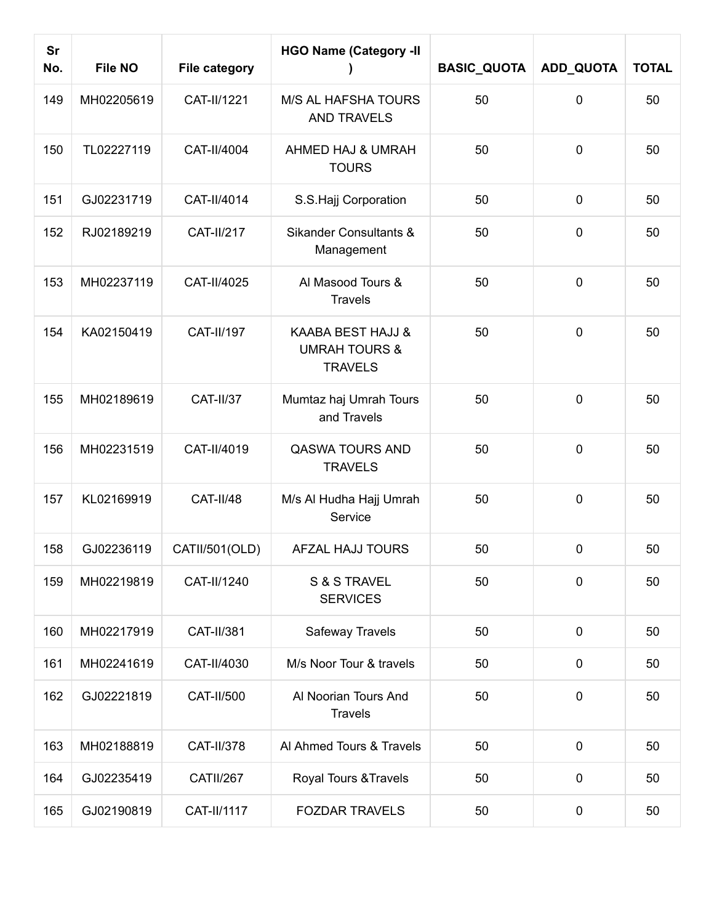| <b>Sr</b><br>No. | <b>File NO</b> | <b>File category</b> | <b>HGO Name (Category -II</b>                                   | <b>BASIC_QUOTA</b> | ADD_QUOTA      | <b>TOTAL</b> |
|------------------|----------------|----------------------|-----------------------------------------------------------------|--------------------|----------------|--------------|
| 149              | MH02205619     | CAT-II/1221          | <b>M/S AL HAFSHA TOURS</b><br><b>AND TRAVELS</b>                | 50                 | $\mathbf 0$    | 50           |
| 150              | TL02227119     | CAT-II/4004          | AHMED HAJ & UMRAH<br><b>TOURS</b>                               | 50                 | $\mathbf 0$    | 50           |
| 151              | GJ02231719     | CAT-II/4014          | S.S.Hajj Corporation                                            | 50                 | $\mathbf 0$    | 50           |
| 152              | RJ02189219     | <b>CAT-II/217</b>    | <b>Sikander Consultants &amp;</b><br>Management                 | 50                 | $\mathbf 0$    | 50           |
| 153              | MH02237119     | CAT-II/4025          | Al Masood Tours &<br><b>Travels</b>                             | 50                 | $\mathbf 0$    | 50           |
| 154              | KA02150419     | <b>CAT-II/197</b>    | KAABA BEST HAJJ &<br><b>UMRAH TOURS &amp;</b><br><b>TRAVELS</b> | 50                 | $\mathbf 0$    | 50           |
| 155              | MH02189619     | <b>CAT-II/37</b>     | Mumtaz haj Umrah Tours<br>and Travels                           | 50                 | $\mathbf 0$    | 50           |
| 156              | MH02231519     | CAT-II/4019          | <b>QASWA TOURS AND</b><br><b>TRAVELS</b>                        | 50                 | $\mathbf 0$    | 50           |
| 157              | KL02169919     | CAT-II/48            | M/s Al Hudha Hajj Umrah<br>Service                              | 50                 | $\mathbf 0$    | 50           |
| 158              | GJ02236119     | CATII/501(OLD)       | AFZAL HAJJ TOURS                                                | 50                 | $\mathbf 0$    | 50           |
| 159              | MH02219819     | CAT-II/1240          | S & S TRAVEL<br><b>SERVICES</b>                                 | 50                 | $\overline{0}$ | 50           |
| 160              | MH02217919     | CAT-II/381           | Safeway Travels                                                 | 50                 | $\mathbf 0$    | 50           |
| 161              | MH02241619     | CAT-II/4030          | M/s Noor Tour & travels                                         | 50                 | $\mathbf 0$    | 50           |
| 162              | GJ02221819     | CAT-II/500           | Al Noorian Tours And<br><b>Travels</b>                          | 50                 | $\mathbf 0$    | 50           |
| 163              | MH02188819     | CAT-II/378           | Al Ahmed Tours & Travels                                        | 50                 | $\mathbf 0$    | 50           |
| 164              | GJ02235419     | CATII/267            | Royal Tours & Travels                                           | 50                 | $\mathbf 0$    | 50           |
| 165              | GJ02190819     | CAT-II/1117          | <b>FOZDAR TRAVELS</b>                                           | 50                 | 0              | 50           |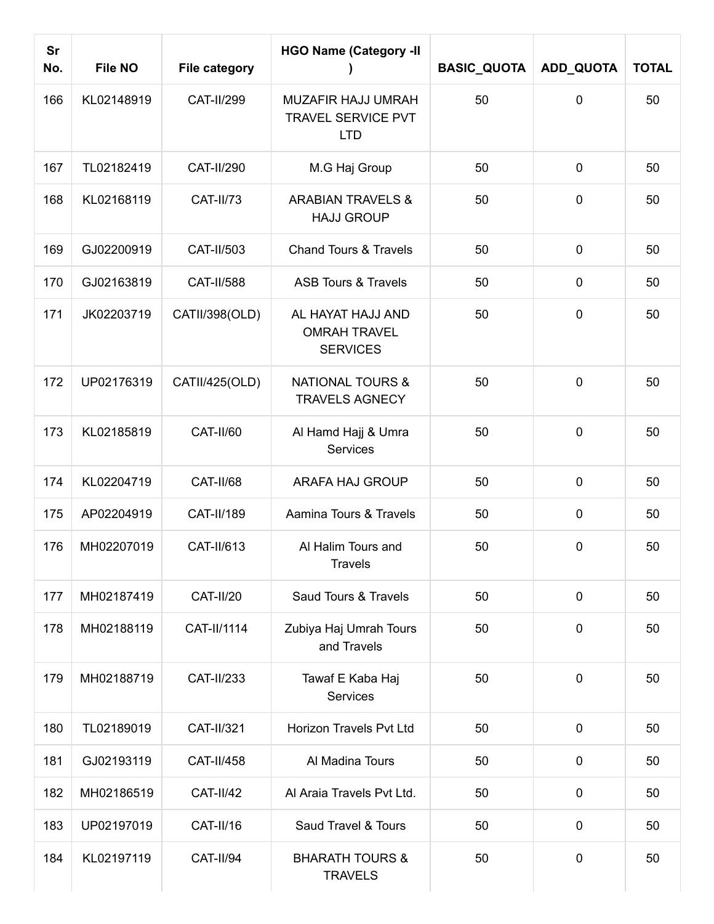| <b>Sr</b><br>No. | <b>File NO</b> | <b>File category</b> | <b>HGO Name (Category -II</b>                               | <b>BASIC_QUOTA</b> | ADD_QUOTA   | <b>TOTAL</b> |
|------------------|----------------|----------------------|-------------------------------------------------------------|--------------------|-------------|--------------|
| 166              | KL02148919     | <b>CAT-II/299</b>    | MUZAFIR HAJJ UMRAH<br>TRAVEL SERVICE PVT<br><b>LTD</b>      | 50                 | 0           | 50           |
| 167              | TL02182419     | <b>CAT-II/290</b>    | M.G Haj Group                                               | 50                 | $\mathbf 0$ | 50           |
| 168              | KL02168119     | CAT-II/73            | <b>ARABIAN TRAVELS &amp;</b><br><b>HAJJ GROUP</b>           | 50                 | $\mathbf 0$ | 50           |
| 169              | GJ02200919     | CAT-II/503           | <b>Chand Tours &amp; Travels</b>                            | 50                 | $\mathbf 0$ | 50           |
| 170              | GJ02163819     | <b>CAT-II/588</b>    | <b>ASB Tours &amp; Travels</b>                              | 50                 | $\mathbf 0$ | 50           |
| 171              | JK02203719     | CATII/398(OLD)       | AL HAYAT HAJJ AND<br><b>OMRAH TRAVEL</b><br><b>SERVICES</b> | 50                 | $\mathbf 0$ | 50           |
| 172              | UP02176319     | CATII/425(OLD)       | <b>NATIONAL TOURS &amp;</b><br><b>TRAVELS AGNECY</b>        | 50                 | 0           | 50           |
| 173              | KL02185819     | CAT-II/60            | Al Hamd Hajj & Umra<br>Services                             | 50                 | $\mathbf 0$ | 50           |
| 174              | KL02204719     | CAT-II/68            | ARAFA HAJ GROUP                                             | 50                 | $\mathbf 0$ | 50           |
| 175              | AP02204919     | CAT-II/189           | Aamina Tours & Travels                                      | 50                 | $\mathbf 0$ | 50           |
| 176              | MH02207019     | CAT-II/613           | Al Halim Tours and<br><b>Travels</b>                        | 50                 | $\mathbf 0$ | 50           |
| 177              | MH02187419     | <b>CAT-II/20</b>     | Saud Tours & Travels                                        | 50                 | $\mathbf 0$ | 50           |
| 178              | MH02188119     | CAT-II/1114          | Zubiya Haj Umrah Tours<br>and Travels                       | 50                 | $\mathbf 0$ | 50           |
| 179              | MH02188719     | CAT-II/233           | Tawaf E Kaba Haj<br>Services                                | 50                 | $\mathbf 0$ | 50           |
| 180              | TL02189019     | <b>CAT-II/321</b>    | Horizon Travels Pvt Ltd                                     | 50                 | $\mathbf 0$ | 50           |
| 181              | GJ02193119     | CAT-II/458           | Al Madina Tours                                             | 50                 | $\mathbf 0$ | 50           |
| 182              | MH02186519     | <b>CAT-II/42</b>     | Al Araia Travels Pvt Ltd.                                   | 50                 | $\mathbf 0$ | 50           |
| 183              | UP02197019     | CAT-II/16            | Saud Travel & Tours                                         | 50                 | $\mathbf 0$ | 50           |
| 184              | KL02197119     | <b>CAT-II/94</b>     | <b>BHARATH TOURS &amp;</b><br><b>TRAVELS</b>                | 50                 | $\mathbf 0$ | 50           |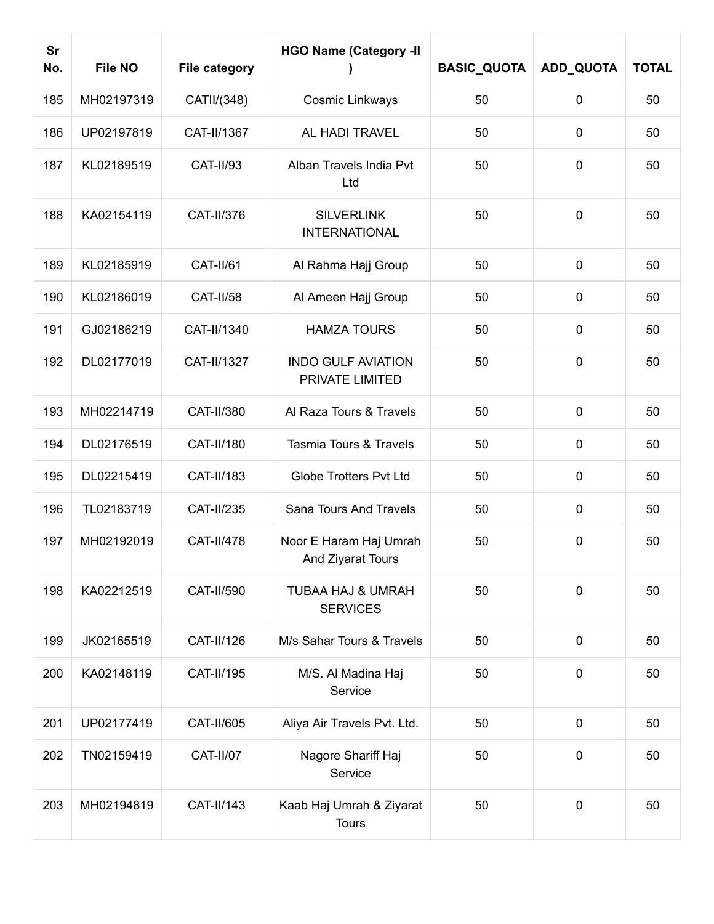| <b>Sr</b><br>No. | File NO    | <b>File category</b> | <b>HGO Name (Category -II</b>                   | <b>BASIC_QUOTA</b> | ADD_QUOTA   | <b>TOTAL</b> |
|------------------|------------|----------------------|-------------------------------------------------|--------------------|-------------|--------------|
| 185              | MH02197319 | CATII/(348)          | Cosmic Linkways                                 | 50                 | $\mathbf 0$ | 50           |
| 186              | UP02197819 | CAT-II/1367          | AL HADI TRAVEL                                  | 50                 | $\mathbf 0$ | 50           |
| 187              | KL02189519 | <b>CAT-II/93</b>     | Alban Travels India Pvt<br>Ltd                  | 50                 | $\mathbf 0$ | 50           |
| 188              | KA02154119 | CAT-II/376           | <b>SILVERLINK</b><br><b>INTERNATIONAL</b>       | 50                 | $\mathbf 0$ | 50           |
| 189              | KL02185919 | CAT-II/61            | Al Rahma Hajj Group                             | 50                 | $\mathbf 0$ | 50           |
| 190              | KL02186019 | CAT-II/58            | Al Ameen Hajj Group                             | 50                 | $\mathbf 0$ | 50           |
| 191              | GJ02186219 | CAT-II/1340          | <b>HAMZA TOURS</b>                              | 50                 | $\mathbf 0$ | 50           |
| 192              | DL02177019 | CAT-II/1327          | <b>INDO GULF AVIATION</b><br>PRIVATE LIMITED    | 50                 | $\mathbf 0$ | 50           |
| 193              | MH02214719 | CAT-II/380           | Al Raza Tours & Travels                         | 50                 | $\mathbf 0$ | 50           |
| 194              | DL02176519 | CAT-II/180           | Tasmia Tours & Travels                          | 50                 | $\mathbf 0$ | 50           |
| 195              | DL02215419 | CAT-II/183           | <b>Globe Trotters Pvt Ltd</b>                   | 50                 | $\mathbf 0$ | 50           |
| 196              | TL02183719 | <b>CAT-II/235</b>    | Sana Tours And Travels                          | 50                 | $\mathbf 0$ | 50           |
| 197              | MH02192019 | <b>CAT-II/478</b>    | Noor E Haram Haj Umrah<br>And Ziyarat Tours     | 50                 | $\mathbf 0$ | 50           |
| 198              | KA02212519 | CAT-II/590           | <b>TUBAA HAJ &amp; UMRAH</b><br><b>SERVICES</b> | 50                 | $\mathbf 0$ | 50           |
| 199              | JK02165519 | CAT-II/126           | M/s Sahar Tours & Travels                       | 50                 | $\mathbf 0$ | 50           |
| 200              | KA02148119 | CAT-II/195           | M/S. Al Madina Haj<br>Service                   | 50                 | $\mathbf 0$ | 50           |
| 201              | UP02177419 | CAT-II/605           | Aliya Air Travels Pvt. Ltd.                     | 50                 | $\mathbf 0$ | 50           |
| 202              | TN02159419 | CAT-II/07            | Nagore Shariff Haj<br>Service                   | 50                 | $\mathbf 0$ | 50           |
| 203              | MH02194819 | CAT-II/143           | Kaab Haj Umrah & Ziyarat<br><b>Tours</b>        | 50                 | $\mathbf 0$ | 50           |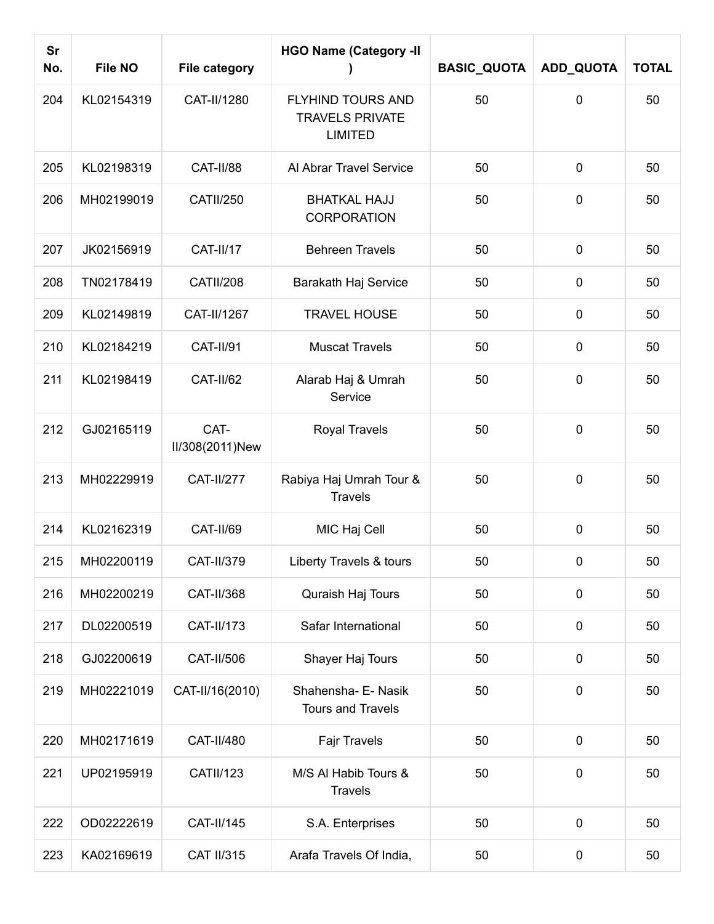| <b>Sr</b><br>No. | <b>File NO</b> | <b>File category</b>    | <b>HGO Name (Category -II</b>                                 | <b>BASIC_QUOTA</b> | ADD_QUOTA    | <b>TOTAL</b> |
|------------------|----------------|-------------------------|---------------------------------------------------------------|--------------------|--------------|--------------|
| 204              | KL02154319     | CAT-II/1280             | FLYHIND TOURS AND<br><b>TRAVELS PRIVATE</b><br><b>LIMITED</b> | 50                 | $\mathbf{0}$ | 50           |
| 205              | KL02198319     | CAT-II/88               | Al Abrar Travel Service                                       | 50                 | $\mathbf 0$  | 50           |
| 206              | MH02199019     | <b>CATII/250</b>        | <b>BHATKAL HAJJ</b><br><b>CORPORATION</b>                     | 50                 | $\mathbf 0$  | 50           |
| 207              | JK02156919     | CAT-II/17               | <b>Behreen Travels</b>                                        | 50                 | $\mathbf 0$  | 50           |
| 208              | TN02178419     | <b>CATII/208</b>        | Barakath Haj Service                                          | 50                 | $\mathbf 0$  | 50           |
| 209              | KL02149819     | CAT-II/1267             | <b>TRAVEL HOUSE</b>                                           | 50                 | $\mathbf 0$  | 50           |
| 210              | KL02184219     | <b>CAT-II/91</b>        | <b>Muscat Travels</b>                                         | 50                 | $\mathbf 0$  | 50           |
| 211              | KL02198419     | <b>CAT-II/62</b>        | Alarab Haj & Umrah<br>Service                                 | 50                 | $\mathbf 0$  | 50           |
| 212              | GJ02165119     | CAT-<br>II/308(2011)New | <b>Royal Travels</b>                                          | 50                 | $\mathbf 0$  | 50           |
| 213              | MH02229919     | <b>CAT-II/277</b>       | Rabiya Haj Umrah Tour &<br><b>Travels</b>                     | 50                 | $\mathbf 0$  | 50           |
| 214              | KL02162319     | CAT-II/69               | MIC Haj Cell                                                  | 50                 | $\mathbf 0$  | 50           |
| 215              | MH02200119     | CAT-II/379              | Liberty Travels & tours                                       | 50                 | $\pmb{0}$    | 50           |
| 216              | MH02200219     | CAT-II/368              | Quraish Haj Tours                                             | 50                 | $\pmb{0}$    | 50           |
| 217              | DL02200519     | CAT-II/173              | Safar International                                           | 50                 | $\mathbf 0$  | 50           |
| 218              | GJ02200619     | CAT-II/506              | Shayer Haj Tours                                              | 50                 | $\mathbf 0$  | 50           |
| 219              | MH02221019     | CAT-II/16(2010)         | Shahensha- E- Nasik<br><b>Tours and Travels</b>               | 50                 | $\mathbf 0$  | 50           |
| 220              | MH02171619     | CAT-II/480              | Fajr Travels                                                  | 50                 | $\pmb{0}$    | 50           |
| 221              | UP02195919     | <b>CATII/123</b>        | M/S Al Habib Tours &<br><b>Travels</b>                        | 50                 | $\mathbf 0$  | 50           |
| 222              | OD02222619     | CAT-II/145              | S.A. Enterprises                                              | 50                 | $\pmb{0}$    | 50           |
| 223              | KA02169619     | <b>CAT II/315</b>       | Arafa Travels Of India,                                       | 50                 | $\mathbf 0$  | 50           |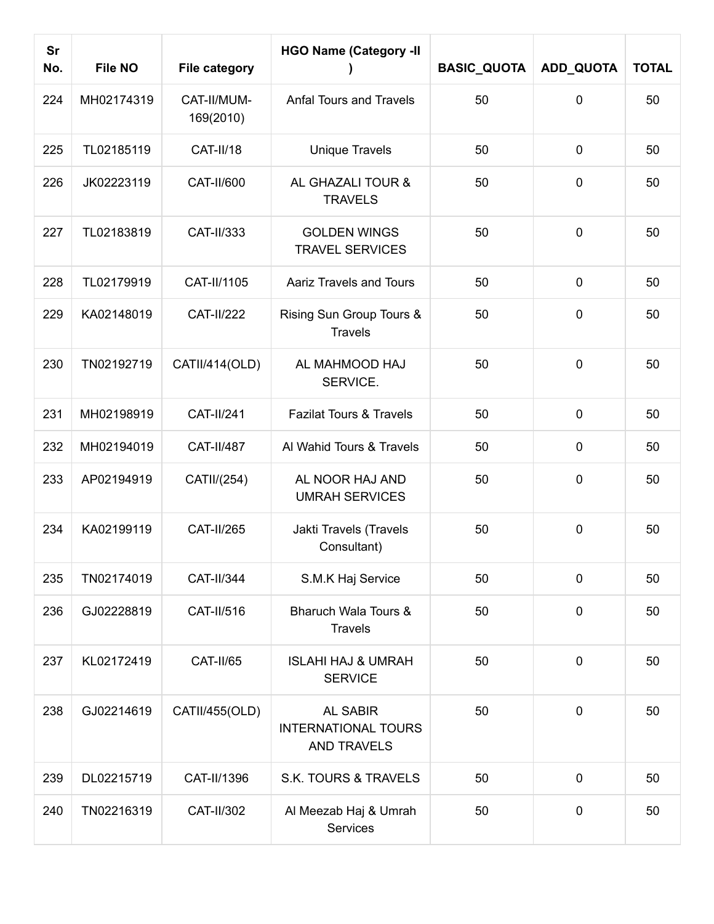| <b>Sr</b><br>No. | <b>File NO</b> | <b>File category</b>     | <b>HGO Name (Category -II</b>                                       | <b>BASIC_QUOTA</b> | ADD_QUOTA    | <b>TOTAL</b> |
|------------------|----------------|--------------------------|---------------------------------------------------------------------|--------------------|--------------|--------------|
| 224              | MH02174319     | CAT-II/MUM-<br>169(2010) | <b>Anfal Tours and Travels</b>                                      | 50                 | $\mathbf{0}$ | 50           |
| 225              | TL02185119     | CAT-II/18                | <b>Unique Travels</b>                                               | 50                 | $\mathbf 0$  | 50           |
| 226              | JK02223119     | CAT-II/600               | AL GHAZALI TOUR &<br><b>TRAVELS</b>                                 | 50                 | $\mathbf 0$  | 50           |
| 227              | TL02183819     | CAT-II/333               | <b>GOLDEN WINGS</b><br><b>TRAVEL SERVICES</b>                       | 50                 | $\mathbf 0$  | 50           |
| 228              | TL02179919     | CAT-II/1105              | <b>Aariz Travels and Tours</b>                                      | 50                 | $\mathbf 0$  | 50           |
| 229              | KA02148019     | <b>CAT-II/222</b>        | Rising Sun Group Tours &<br><b>Travels</b>                          | 50                 | $\mathbf 0$  | 50           |
| 230              | TN02192719     | CATII/414(OLD)           | AL MAHMOOD HAJ<br>SERVICE.                                          | 50                 | $\mathbf 0$  | 50           |
| 231              | MH02198919     | <b>CAT-II/241</b>        | <b>Fazilat Tours &amp; Travels</b>                                  | 50                 | $\mathbf 0$  | 50           |
| 232              | MH02194019     | <b>CAT-II/487</b>        | Al Wahid Tours & Travels                                            | 50                 | $\mathbf 0$  | 50           |
| 233              | AP02194919     | CATII/(254)              | AL NOOR HAJ AND<br><b>UMRAH SERVICES</b>                            | 50                 | $\mathbf 0$  | 50           |
| 234              | KA02199119     | <b>CAT-II/265</b>        | Jakti Travels (Travels<br>Consultant)                               | 50                 | $\mathbf 0$  | 50           |
| 235              | TN02174019     | <b>CAT-II/344</b>        | S.M.K Haj Service                                                   | 50                 | $\mathbf 0$  | 50           |
| 236              | GJ02228819     | CAT-II/516               | Bharuch Wala Tours &<br><b>Travels</b>                              | 50                 | $\mathbf 0$  | 50           |
| 237              | KL02172419     | CAT-II/65                | <b>ISLAHI HAJ &amp; UMRAH</b><br><b>SERVICE</b>                     | 50                 | $\mathbf 0$  | 50           |
| 238              | GJ02214619     | CATII/455(OLD)           | <b>AL SABIR</b><br><b>INTERNATIONAL TOURS</b><br><b>AND TRAVELS</b> | 50                 | $\mathbf 0$  | 50           |
| 239              | DL02215719     | CAT-II/1396              | S.K. TOURS & TRAVELS                                                | 50                 | $\mathbf 0$  | 50           |
| 240              | TN02216319     | CAT-II/302               | Al Meezab Haj & Umrah<br>Services                                   | 50                 | $\mathbf 0$  | 50           |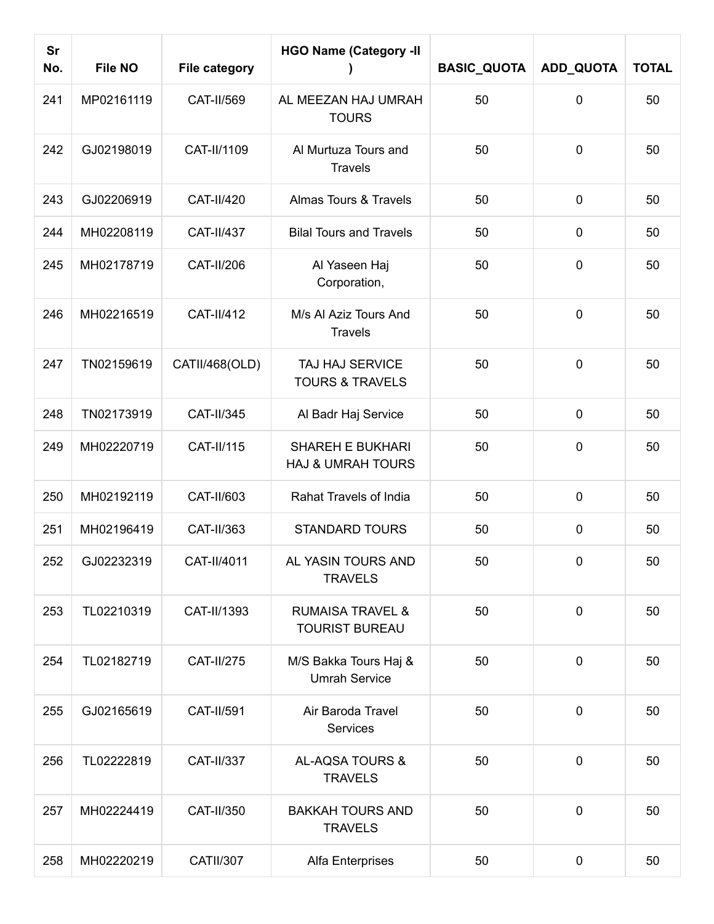| <b>Sr</b><br>No. | <b>File NO</b> | <b>File category</b> | <b>HGO Name (Category -II</b>                           | <b>BASIC_QUOTA</b> | ADD_QUOTA   | <b>TOTAL</b> |
|------------------|----------------|----------------------|---------------------------------------------------------|--------------------|-------------|--------------|
| 241              | MP02161119     | CAT-II/569           | AL MEEZAN HAJ UMRAH<br><b>TOURS</b>                     | 50                 | $\mathbf 0$ | 50           |
| 242              | GJ02198019     | CAT-II/1109          | Al Murtuza Tours and<br><b>Travels</b>                  | 50                 | $\mathbf 0$ | 50           |
| 243              | GJ02206919     | CAT-II/420           | Almas Tours & Travels                                   | 50                 | $\mathbf 0$ | 50           |
| 244              | MH02208119     | <b>CAT-II/437</b>    | <b>Bilal Tours and Travels</b>                          | 50                 | $\mathbf 0$ | 50           |
| 245              | MH02178719     | <b>CAT-II/206</b>    | Al Yaseen Haj<br>Corporation,                           | 50                 | $\mathbf 0$ | 50           |
| 246              | MH02216519     | <b>CAT-II/412</b>    | M/s Al Aziz Tours And<br><b>Travels</b>                 | 50                 | $\mathbf 0$ | 50           |
| 247              | TN02159619     | CATII/468(OLD)       | TAJ HAJ SERVICE<br><b>TOURS &amp; TRAVELS</b>           | 50                 | $\mathbf 0$ | 50           |
| 248              | TN02173919     | CAT-II/345           | Al Badr Haj Service                                     | 50                 | $\mathbf 0$ | 50           |
| 249              | MH02220719     | CAT-II/115           | <b>SHAREH E BUKHARI</b><br><b>HAJ &amp; UMRAH TOURS</b> | 50                 | $\mathbf 0$ | 50           |
| 250              | MH02192119     | CAT-II/603           | Rahat Travels of India                                  | 50                 | $\mathbf 0$ | 50           |
| 251              | MH02196419     | CAT-II/363           | <b>STANDARD TOURS</b>                                   | 50                 | $\mathbf 0$ | 50           |
| 252              | GJ02232319     | CAT-II/4011          | AL YASIN TOURS AND<br><b>TRAVELS</b>                    | 50                 | 0           | 50           |
| 253              | TL02210319     | CAT-II/1393          | <b>RUMAISA TRAVEL &amp;</b><br><b>TOURIST BUREAU</b>    | 50                 | $\mathbf 0$ | 50           |
| 254              | TL02182719     | CAT-II/275           | M/S Bakka Tours Haj &<br><b>Umrah Service</b>           | 50                 | $\mathbf 0$ | 50           |
| 255              | GJ02165619     | CAT-II/591           | Air Baroda Travel<br><b>Services</b>                    | 50                 | $\mathbf 0$ | 50           |
| 256              | TL02222819     | CAT-II/337           | AL-AQSA TOURS &<br><b>TRAVELS</b>                       | 50                 | $\mathbf 0$ | 50           |
| 257              | MH02224419     | CAT-II/350           | <b>BAKKAH TOURS AND</b><br><b>TRAVELS</b>               | 50                 | $\mathbf 0$ | 50           |
| 258              | MH02220219     | <b>CATII/307</b>     | Alfa Enterprises                                        | 50                 | $\pmb{0}$   | 50           |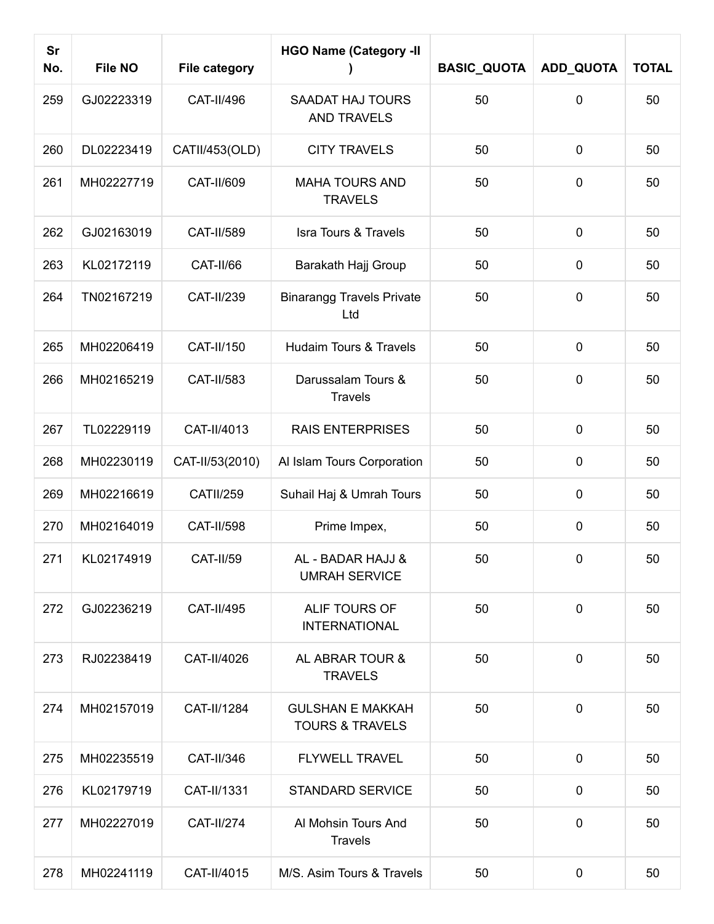| Sr<br>No. | <b>File NO</b> | <b>File category</b> | <b>HGO Name (Category -II</b>                         | <b>BASIC_QUOTA</b> | ADD_QUOTA   | <b>TOTAL</b> |
|-----------|----------------|----------------------|-------------------------------------------------------|--------------------|-------------|--------------|
| 259       | GJ02223319     | CAT-II/496           | <b>SAADAT HAJ TOURS</b><br><b>AND TRAVELS</b>         | 50                 | 0           | 50           |
| 260       | DL02223419     | CATII/453(OLD)       | <b>CITY TRAVELS</b>                                   | 50                 | $\mathbf 0$ | 50           |
| 261       | MH02227719     | CAT-II/609           | <b>MAHA TOURS AND</b><br><b>TRAVELS</b>               | 50                 | 0           | 50           |
| 262       | GJ02163019     | <b>CAT-II/589</b>    | <b>Isra Tours &amp; Travels</b>                       | 50                 | $\mathbf 0$ | 50           |
| 263       | KL02172119     | CAT-II/66            | Barakath Hajj Group                                   | 50                 | $\mathbf 0$ | 50           |
| 264       | TN02167219     | CAT-II/239           | <b>Binarangg Travels Private</b><br>Ltd               | 50                 | $\mathbf 0$ | 50           |
| 265       | MH02206419     | CAT-II/150           | Hudaim Tours & Travels                                | 50                 | $\mathbf 0$ | 50           |
| 266       | MH02165219     | CAT-II/583           | Darussalam Tours &<br><b>Travels</b>                  | 50                 | $\mathbf 0$ | 50           |
| 267       | TL02229119     | CAT-II/4013          | <b>RAIS ENTERPRISES</b>                               | 50                 | $\mathbf 0$ | 50           |
| 268       | MH02230119     | CAT-II/53(2010)      | Al Islam Tours Corporation                            | 50                 | $\mathbf 0$ | 50           |
| 269       | MH02216619     | <b>CATII/259</b>     | Suhail Haj & Umrah Tours                              | 50                 | $\pmb{0}$   | 50           |
| 270       | MH02164019     | <b>CAT-II/598</b>    | Prime Impex,                                          | 50                 | $\mathbf 0$ | 50           |
| 271       | KL02174919     | <b>CAT-II/59</b>     | AL - BADAR HAJJ &<br><b>UMRAH SERVICE</b>             | 50                 | $\mathbf 0$ | 50           |
| 272       | GJ02236219     | CAT-II/495           | ALIF TOURS OF<br><b>INTERNATIONAL</b>                 | 50                 | $\mathbf 0$ | 50           |
| 273       | RJ02238419     | CAT-II/4026          | AL ABRAR TOUR &<br><b>TRAVELS</b>                     | 50                 | $\mathbf 0$ | 50           |
| 274       | MH02157019     | CAT-II/1284          | <b>GULSHAN E MAKKAH</b><br><b>TOURS &amp; TRAVELS</b> | 50                 | $\mathbf 0$ | 50           |
| 275       | MH02235519     | CAT-II/346           | <b>FLYWELL TRAVEL</b>                                 | 50                 | $\mathbf 0$ | 50           |
| 276       | KL02179719     | CAT-II/1331          | <b>STANDARD SERVICE</b>                               | 50                 | $\mathbf 0$ | 50           |
| 277       | MH02227019     | <b>CAT-II/274</b>    | Al Mohsin Tours And<br><b>Travels</b>                 | 50                 | $\mathbf 0$ | 50           |
| 278       | MH02241119     | CAT-II/4015          | M/S. Asim Tours & Travels                             | 50                 | 0           | 50           |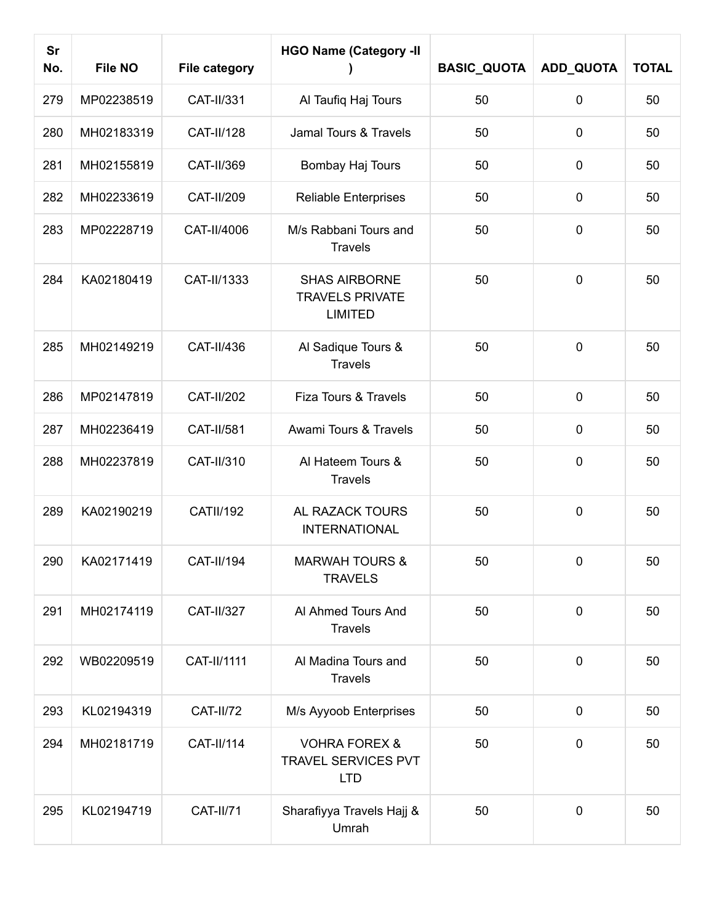| <b>Sr</b><br>No. | <b>File NO</b> | <b>File category</b> | <b>HGO Name (Category -II</b>                                    | <b>BASIC_QUOTA</b> | ADD_QUOTA   | <b>TOTAL</b> |
|------------------|----------------|----------------------|------------------------------------------------------------------|--------------------|-------------|--------------|
| 279              | MP02238519     | CAT-II/331           | Al Taufiq Haj Tours                                              | 50                 | $\mathbf 0$ | 50           |
| 280              | MH02183319     | <b>CAT-II/128</b>    | Jamal Tours & Travels                                            | 50                 | $\mathbf 0$ | 50           |
| 281              | MH02155819     | CAT-II/369           | Bombay Haj Tours                                                 | 50                 | $\pmb{0}$   | 50           |
| 282              | MH02233619     | <b>CAT-II/209</b>    | <b>Reliable Enterprises</b>                                      | 50                 | $\mathbf 0$ | 50           |
| 283              | MP02228719     | CAT-II/4006          | M/s Rabbani Tours and<br><b>Travels</b>                          | 50                 | $\mathbf 0$ | 50           |
| 284              | KA02180419     | CAT-II/1333          | <b>SHAS AIRBORNE</b><br><b>TRAVELS PRIVATE</b><br><b>LIMITED</b> | 50                 | $\mathbf 0$ | 50           |
| 285              | MH02149219     | CAT-II/436           | Al Sadique Tours &<br><b>Travels</b>                             | 50                 | $\mathbf 0$ | 50           |
| 286              | MP02147819     | <b>CAT-II/202</b>    | Fiza Tours & Travels                                             | 50                 | $\pmb{0}$   | 50           |
| 287              | MH02236419     | CAT-II/581           | Awami Tours & Travels                                            | 50                 | $\mathbf 0$ | 50           |
| 288              | MH02237819     | CAT-II/310           | Al Hateem Tours &<br><b>Travels</b>                              | 50                 | $\mathbf 0$ | 50           |
| 289              | KA02190219     | <b>CATII/192</b>     | AL RAZACK TOURS<br><b>INTERNATIONAL</b>                          | 50                 | $\mathbf 0$ | 50           |
| 290              | KA02171419     | <b>CAT-II/194</b>    | <b>MARWAH TOURS &amp;</b><br><b>TRAVELS</b>                      | 50                 | 0           | 50           |
| 291              | MH02174119     | CAT-II/327           | Al Ahmed Tours And<br><b>Travels</b>                             | 50                 | $\mathbf 0$ | 50           |
| 292              | WB02209519     | CAT-II/1111          | Al Madina Tours and<br><b>Travels</b>                            | 50                 | $\mathbf 0$ | 50           |
| 293              | KL02194319     | <b>CAT-II/72</b>     | M/s Ayyoob Enterprises                                           | 50                 | $\mathbf 0$ | 50           |
| 294              | MH02181719     | CAT-II/114           | <b>VOHRA FOREX &amp;</b><br>TRAVEL SERVICES PVT<br><b>LTD</b>    | 50                 | $\mathbf 0$ | 50           |
| 295              | KL02194719     | <b>CAT-II/71</b>     | Sharafiyya Travels Hajj &<br>Umrah                               | 50                 | $\pmb{0}$   | 50           |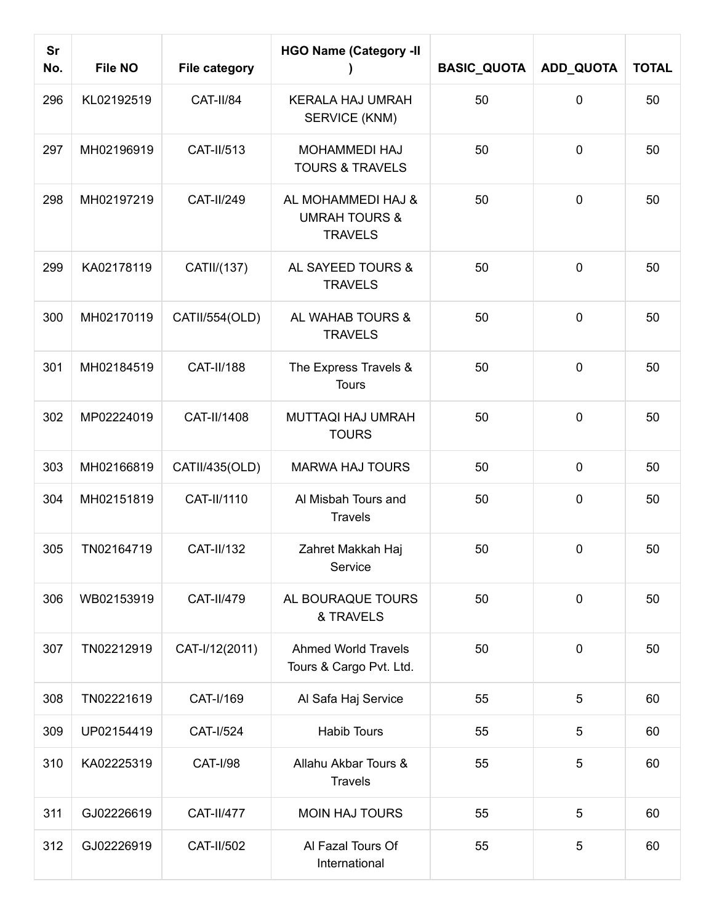| <b>Sr</b><br>No. | <b>File NO</b> | <b>File category</b> | <b>HGO Name (Category -II</b>                                    | <b>BASIC_QUOTA</b> | ADD_QUOTA   | <b>TOTAL</b> |
|------------------|----------------|----------------------|------------------------------------------------------------------|--------------------|-------------|--------------|
| 296              | KL02192519     | CAT-II/84            | <b>KERALA HAJ UMRAH</b><br>SERVICE (KNM)                         | 50                 | $\mathbf 0$ | 50           |
| 297              | MH02196919     | CAT-II/513           | <b>MOHAMMEDI HAJ</b><br><b>TOURS &amp; TRAVELS</b>               | 50                 | $\mathbf 0$ | 50           |
| 298              | MH02197219     | CAT-II/249           | AL MOHAMMEDI HAJ &<br><b>UMRAH TOURS &amp;</b><br><b>TRAVELS</b> | 50                 | $\mathbf 0$ | 50           |
| 299              | KA02178119     | CATII/(137)          | AL SAYEED TOURS &<br><b>TRAVELS</b>                              | 50                 | $\mathbf 0$ | 50           |
| 300              | MH02170119     | CATII/554(OLD)       | AL WAHAB TOURS &<br><b>TRAVELS</b>                               | 50                 | $\mathbf 0$ | 50           |
| 301              | MH02184519     | <b>CAT-II/188</b>    | The Express Travels &<br><b>Tours</b>                            | 50                 | $\mathbf 0$ | 50           |
| 302              | MP02224019     | CAT-II/1408          | <b>MUTTAQI HAJ UMRAH</b><br><b>TOURS</b>                         | 50                 | $\mathbf 0$ | 50           |
| 303              | MH02166819     | CATII/435(OLD)       | <b>MARWA HAJ TOURS</b>                                           | 50                 | $\mathbf 0$ | 50           |
| 304              | MH02151819     | CAT-II/1110          | Al Misbah Tours and<br><b>Travels</b>                            | 50                 | $\mathbf 0$ | 50           |
| 305              | TN02164719     | <b>CAT-II/132</b>    | Zahret Makkah Haj<br>Service                                     | 50                 | $\mathbf 0$ | 50           |
| 306              | WB02153919     | CAT-II/479           | AL BOURAQUE TOURS<br>& TRAVELS                                   | 50                 | $\mathbf 0$ | 50           |
| 307              | TN02212919     | CAT-I/12(2011)       | <b>Ahmed World Travels</b><br>Tours & Cargo Pvt. Ltd.            | 50                 | $\mathbf 0$ | 50           |
| 308              | TN02221619     | CAT-I/169            | Al Safa Haj Service                                              | 55                 | 5           | 60           |
| 309              | UP02154419     | <b>CAT-I/524</b>     | <b>Habib Tours</b>                                               | 55                 | 5           | 60           |
| 310              | KA02225319     | <b>CAT-I/98</b>      | Allahu Akbar Tours &<br><b>Travels</b>                           | 55                 | 5           | 60           |
| 311              | GJ02226619     | <b>CAT-II/477</b>    | <b>MOIN HAJ TOURS</b>                                            | 55                 | 5           | 60           |
| 312              | GJ02226919     | CAT-II/502           | Al Fazal Tours Of<br>International                               | 55                 | 5           | 60           |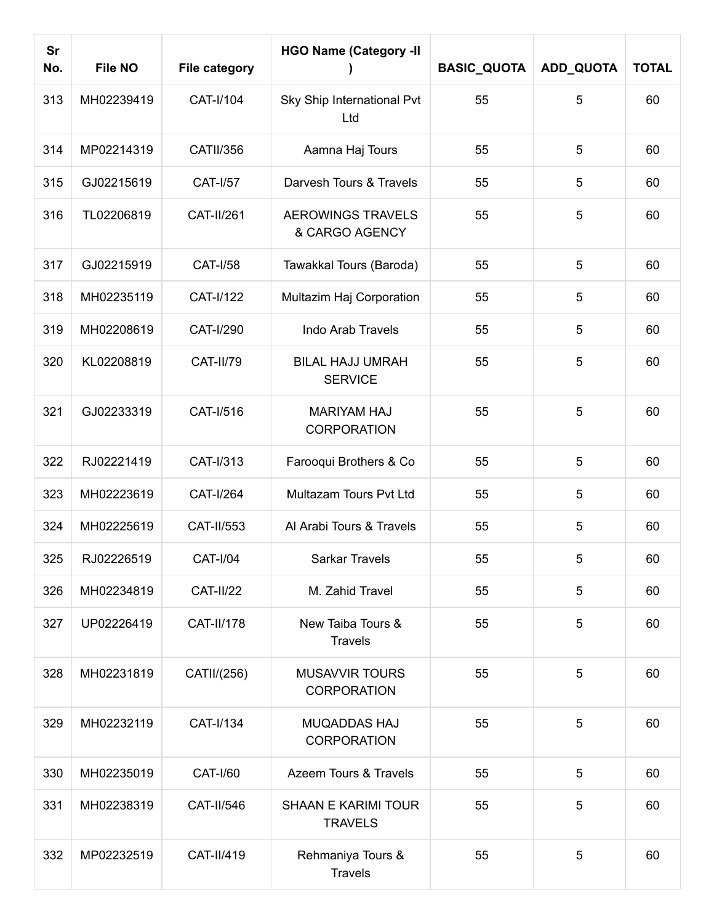| <b>Sr</b><br>No. | <b>File NO</b> | <b>File category</b> | <b>HGO Name (Category -II</b>                | <b>BASIC_QUOTA</b> | ADD_QUOTA      | <b>TOTAL</b> |
|------------------|----------------|----------------------|----------------------------------------------|--------------------|----------------|--------------|
| 313              | MH02239419     | CAT-I/104            | Sky Ship International Pvt<br>Ltd            | 55                 | 5              | 60           |
| 314              | MP02214319     | <b>CATII/356</b>     | Aamna Haj Tours                              | 55                 | 5              | 60           |
| 315              | GJ02215619     | <b>CAT-I/57</b>      | Darvesh Tours & Travels                      | 55                 | 5              | 60           |
| 316              | TL02206819     | CAT-II/261           | <b>AEROWINGS TRAVELS</b><br>& CARGO AGENCY   | 55                 | 5              | 60           |
| 317              | GJ02215919     | <b>CAT-I/58</b>      | Tawakkal Tours (Baroda)                      | 55                 | 5              | 60           |
| 318              | MH02235119     | CAT-I/122            | Multazim Haj Corporation                     | 55                 | 5              | 60           |
| 319              | MH02208619     | CAT-I/290            | <b>Indo Arab Travels</b>                     | 55                 | 5              | 60           |
| 320              | KL02208819     | <b>CAT-II/79</b>     | <b>BILAL HAJJ UMRAH</b><br><b>SERVICE</b>    | 55                 | 5              | 60           |
| 321              | GJ02233319     | CAT-I/516            | <b>MARIYAM HAJ</b><br><b>CORPORATION</b>     | 55                 | 5              | 60           |
| 322              | RJ02221419     | CAT-I/313            | Farooqui Brothers & Co                       | 55                 | 5              | 60           |
| 323              | MH02223619     | <b>CAT-I/264</b>     | Multazam Tours Pvt Ltd                       | 55                 | 5              | 60           |
| 324              | MH02225619     | CAT-II/553           | Al Arabi Tours & Travels                     | 55                 | 5              | 60           |
| 325              | RJ02226519     | <b>CAT-I/04</b>      | Sarkar Travels                               | 55                 | 5 <sub>5</sub> | 60           |
| 326              | MH02234819     | <b>CAT-II/22</b>     | M. Zahid Travel                              | 55                 | $\overline{5}$ | 60           |
| 327              | UP02226419     | <b>CAT-II/178</b>    | New Taiba Tours &<br><b>Travels</b>          | 55                 | 5              | 60           |
| 328              | MH02231819     | CATII/(256)          | <b>MUSAVVIR TOURS</b><br><b>CORPORATION</b>  | 55                 | 5              | 60           |
| 329              | MH02232119     | CAT-I/134            | <b>MUQADDAS HAJ</b><br><b>CORPORATION</b>    | 55                 | 5              | 60           |
| 330              | MH02235019     | <b>CAT-I/60</b>      | Azeem Tours & Travels                        | 55                 | 5              | 60           |
| 331              | MH02238319     | CAT-II/546           | <b>SHAAN E KARIMI TOUR</b><br><b>TRAVELS</b> | 55                 | 5              | 60           |
| 332              | MP02232519     | CAT-II/419           | Rehmaniya Tours &<br><b>Travels</b>          | 55                 | 5              | 60           |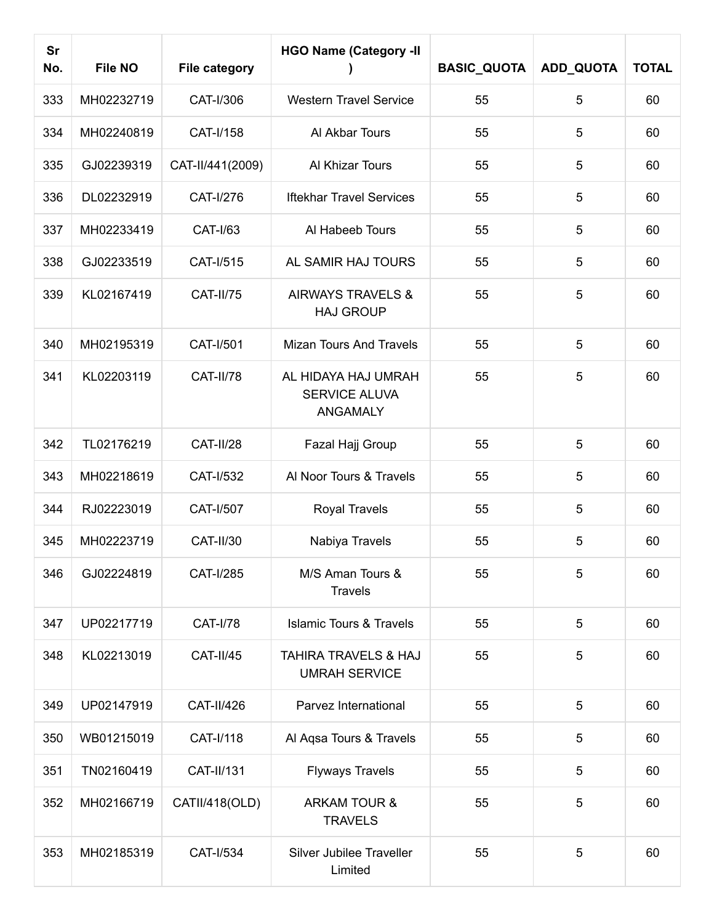| <b>Sr</b><br>No. | <b>File NO</b> | <b>File category</b> | <b>HGO Name (Category -II</b>                           | <b>BASIC_QUOTA</b> | ADD_QUOTA | <b>TOTAL</b> |
|------------------|----------------|----------------------|---------------------------------------------------------|--------------------|-----------|--------------|
| 333              | MH02232719     | CAT-I/306            | <b>Western Travel Service</b>                           | 55                 | 5         | 60           |
| 334              | MH02240819     | CAT-I/158            | Al Akbar Tours                                          | 55                 | 5         | 60           |
| 335              | GJ02239319     | CAT-II/441(2009)     | Al Khizar Tours                                         | 55                 | 5         | 60           |
| 336              | DL02232919     | CAT-I/276            | <b>Iftekhar Travel Services</b>                         | 55                 | 5         | 60           |
| 337              | MH02233419     | <b>CAT-I/63</b>      | Al Habeeb Tours                                         | 55                 | 5         | 60           |
| 338              | GJ02233519     | CAT-I/515            | AL SAMIR HAJ TOURS                                      | 55                 | 5         | 60           |
| 339              | KL02167419     | <b>CAT-II/75</b>     | <b>AIRWAYS TRAVELS &amp;</b><br><b>HAJ GROUP</b>        | 55                 | 5         | 60           |
| 340              | MH02195319     | <b>CAT-I/501</b>     | <b>Mizan Tours And Travels</b>                          | 55                 | 5         | 60           |
| 341              | KL02203119     | CAT-II/78            | AL HIDAYA HAJ UMRAH<br>SERVICE ALUVA<br><b>ANGAMALY</b> | 55                 | 5         | 60           |
| 342              | TL02176219     | CAT-II/28            | Fazal Hajj Group                                        | 55                 | 5         | 60           |
| 343              | MH02218619     | CAT-I/532            | Al Noor Tours & Travels                                 | 55                 | 5         | 60           |
| 344              | RJ02223019     | CAT-I/507            | Royal Travels                                           | 55                 | 5         | 60           |
| 345              | MH02223719     | <b>CAT-II/30</b>     | Nabiya Travels                                          | 55                 | 5         | 60           |
| 346              | GJ02224819     | CAT-I/285            | M/S Aman Tours &<br><b>Travels</b>                      | 55                 | 5         | 60           |
| 347              | UP02217719     | <b>CAT-I/78</b>      | <b>Islamic Tours &amp; Travels</b>                      | 55                 | 5         | 60           |
| 348              | KL02213019     | CAT-II/45            | TAHIRA TRAVELS & HAJ<br><b>UMRAH SERVICE</b>            | 55                 | 5         | 60           |
| 349              | UP02147919     | CAT-II/426           | Parvez International                                    | 55                 | 5         | 60           |
| 350              | WB01215019     | CAT-I/118            | Al Aqsa Tours & Travels                                 | 55                 | 5         | 60           |
| 351              | TN02160419     | CAT-II/131           | <b>Flyways Travels</b>                                  | 55                 | 5         | 60           |
| 352              | MH02166719     | CATII/418(OLD)       | <b>ARKAM TOUR &amp;</b><br><b>TRAVELS</b>               | 55                 | 5         | 60           |
| 353              | MH02185319     | CAT-I/534            | Silver Jubilee Traveller<br>Limited                     | 55                 | 5         | 60           |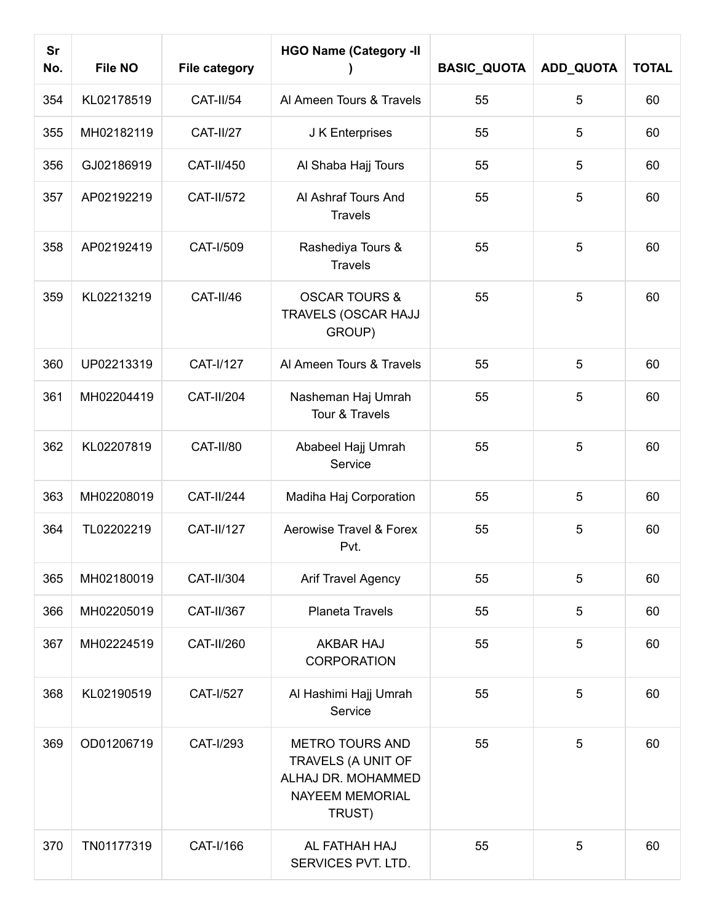| <b>Sr</b><br>No. | <b>File NO</b> | <b>File category</b> | <b>HGO Name (Category -II</b>                                                                          | <b>BASIC_QUOTA</b> | ADD_QUOTA | <b>TOTAL</b> |
|------------------|----------------|----------------------|--------------------------------------------------------------------------------------------------------|--------------------|-----------|--------------|
| 354              | KL02178519     | <b>CAT-II/54</b>     | Al Ameen Tours & Travels                                                                               | 55                 | 5         | 60           |
| 355              | MH02182119     | <b>CAT-II/27</b>     | J K Enterprises                                                                                        | 55                 | 5         | 60           |
| 356              | GJ02186919     | CAT-II/450           | Al Shaba Hajj Tours                                                                                    | 55                 | 5         | 60           |
| 357              | AP02192219     | <b>CAT-II/572</b>    | Al Ashraf Tours And<br><b>Travels</b>                                                                  | 55                 | 5         | 60           |
| 358              | AP02192419     | CAT-I/509            | Rashediya Tours &<br><b>Travels</b>                                                                    | 55                 | 5         | 60           |
| 359              | KL02213219     | CAT-II/46            | <b>OSCAR TOURS &amp;</b><br>TRAVELS (OSCAR HAJJ<br>GROUP)                                              | 55                 | 5         | 60           |
| 360              | UP02213319     | CAT-I/127            | Al Ameen Tours & Travels                                                                               | 55                 | 5         | 60           |
| 361              | MH02204419     | <b>CAT-II/204</b>    | Nasheman Haj Umrah<br>Tour & Travels                                                                   | 55                 | 5         | 60           |
| 362              | KL02207819     | CAT-II/80            | Ababeel Hajj Umrah<br>Service                                                                          | 55                 | 5         | 60           |
| 363              | MH02208019     | <b>CAT-II/244</b>    | Madiha Haj Corporation                                                                                 | 55                 | 5         | 60           |
| 364              | TL02202219     | <b>CAT-II/127</b>    | Aerowise Travel & Forex<br>Pvt.                                                                        | 55                 | 5         | 60           |
| 365              | MH02180019     | CAT-II/304           | <b>Arif Travel Agency</b>                                                                              | 55                 | 5         | 60           |
| 366              | MH02205019     | CAT-II/367           | Planeta Travels                                                                                        | 55                 | 5         | 60           |
| 367              | MH02224519     | CAT-II/260           | <b>AKBAR HAJ</b><br><b>CORPORATION</b>                                                                 | 55                 | 5         | 60           |
| 368              | KL02190519     | CAT-I/527            | Al Hashimi Hajj Umrah<br>Service                                                                       | 55                 | 5         | 60           |
| 369              | OD01206719     | CAT-I/293            | <b>METRO TOURS AND</b><br>TRAVELS (A UNIT OF<br>ALHAJ DR. MOHAMMED<br><b>NAYEEM MEMORIAL</b><br>TRUST) | 55                 | 5         | 60           |
| 370              | TN01177319     | CAT-I/166            | AL FATHAH HAJ<br>SERVICES PVT. LTD.                                                                    | 55                 | 5         | 60           |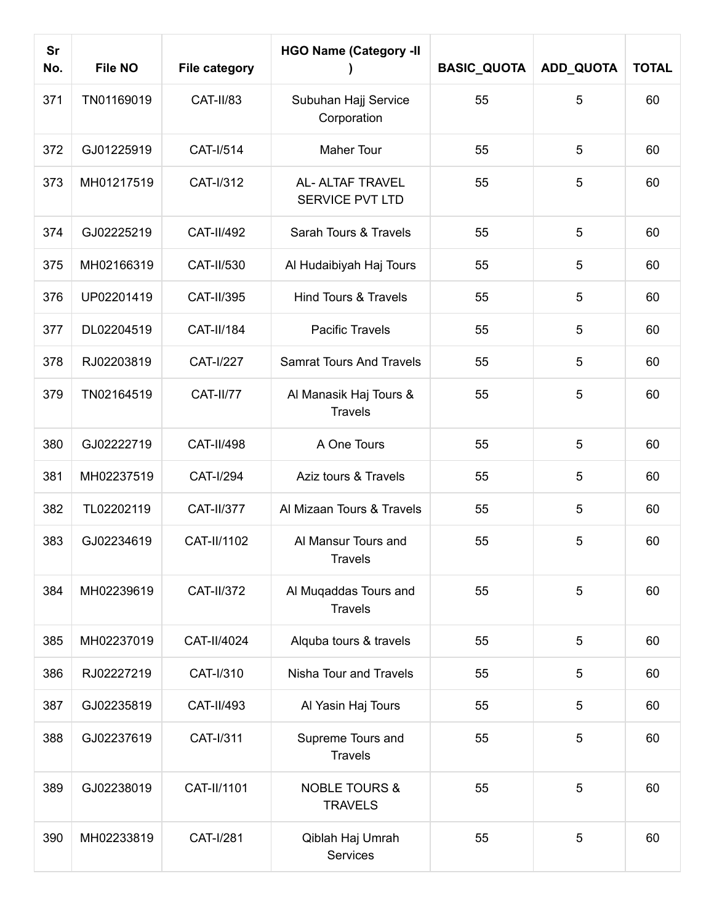| <b>Sr</b><br>No. | <b>File NO</b> | <b>File category</b> | <b>HGO Name (Category -II</b>              | <b>BASIC_QUOTA</b> | ADD_QUOTA | <b>TOTAL</b> |
|------------------|----------------|----------------------|--------------------------------------------|--------------------|-----------|--------------|
| 371              | TN01169019     | CAT-II/83            | Subuhan Hajj Service<br>Corporation        | 55                 | 5         | 60           |
| 372              | GJ01225919     | CAT-I/514            | Maher Tour                                 | 55                 | 5         | 60           |
| 373              | MH01217519     | CAT-I/312            | AL- ALTAF TRAVEL<br><b>SERVICE PVT LTD</b> | 55                 | 5         | 60           |
| 374              | GJ02225219     | <b>CAT-II/492</b>    | Sarah Tours & Travels                      | 55                 | 5         | 60           |
| 375              | MH02166319     | CAT-II/530           | Al Hudaibiyah Haj Tours                    | 55                 | 5         | 60           |
| 376              | UP02201419     | CAT-II/395           | <b>Hind Tours &amp; Travels</b>            | 55                 | 5         | 60           |
| 377              | DL02204519     | <b>CAT-II/184</b>    | <b>Pacific Travels</b>                     | 55                 | 5         | 60           |
| 378              | RJ02203819     | <b>CAT-I/227</b>     | <b>Samrat Tours And Travels</b>            | 55                 | 5         | 60           |
| 379              | TN02164519     | <b>CAT-II/77</b>     | Al Manasik Haj Tours &<br><b>Travels</b>   | 55                 | 5         | 60           |
| 380              | GJ02222719     | <b>CAT-II/498</b>    | A One Tours                                | 55                 | 5         | 60           |
| 381              | MH02237519     | <b>CAT-I/294</b>     | Aziz tours & Travels                       | 55                 | 5         | 60           |
| 382              | TL02202119     | <b>CAT-II/377</b>    | Al Mizaan Tours & Travels                  | 55                 | 5         | 60           |
| 383              | GJ02234619     | CAT-II/1102          | Al Mansur Tours and<br>Travels             | 55                 | 5         | 60           |
| 384              | MH02239619     | <b>CAT-II/372</b>    | Al Muqaddas Tours and<br><b>Travels</b>    | 55                 | 5         | 60           |
| 385              | MH02237019     | CAT-II/4024          | Alquba tours & travels                     | 55                 | 5         | 60           |
| 386              | RJ02227219     | CAT-I/310            | Nisha Tour and Travels                     | 55                 | 5         | 60           |
| 387              | GJ02235819     | CAT-II/493           | Al Yasin Haj Tours                         | 55                 | 5         | 60           |
| 388              | GJ02237619     | CAT-I/311            | Supreme Tours and<br><b>Travels</b>        | 55                 | 5         | 60           |
| 389              | GJ02238019     | CAT-II/1101          | <b>NOBLE TOURS &amp;</b><br><b>TRAVELS</b> | 55                 | 5         | 60           |
| 390              | MH02233819     | CAT-I/281            | Qiblah Haj Umrah<br>Services               | 55                 | 5         | 60           |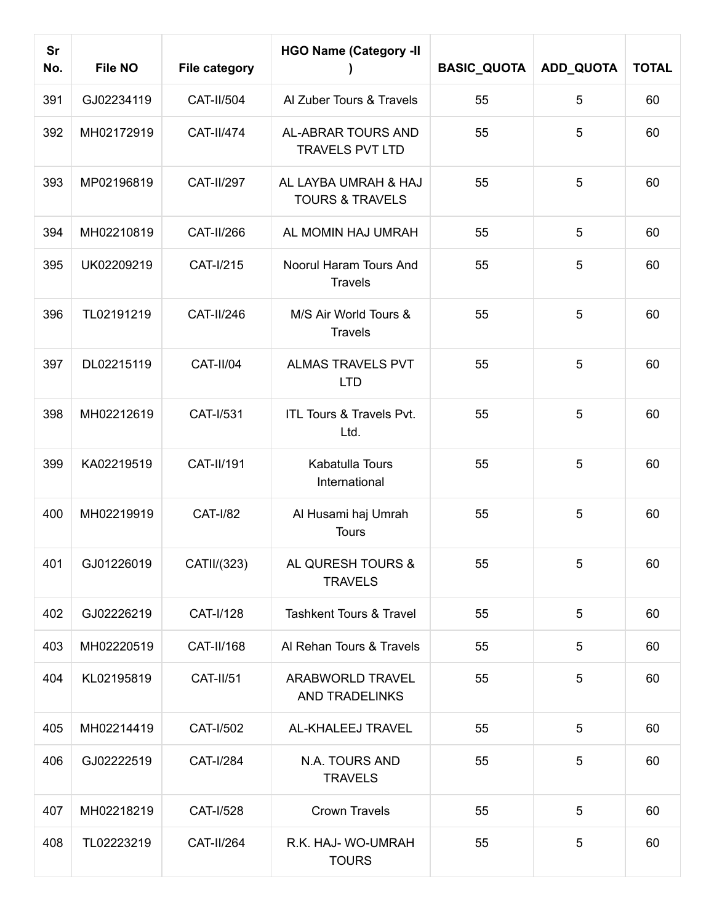| <b>Sr</b><br>No. | <b>File NO</b> | <b>File category</b> | <b>HGO Name (Category -II</b>                      | <b>BASIC_QUOTA</b> | <b>ADD_QUOTA</b> | <b>TOTAL</b> |
|------------------|----------------|----------------------|----------------------------------------------------|--------------------|------------------|--------------|
| 391              | GJ02234119     | CAT-II/504           | Al Zuber Tours & Travels                           | 55                 | 5                | 60           |
| 392              | MH02172919     | <b>CAT-II/474</b>    | AL-ABRAR TOURS AND<br><b>TRAVELS PVT LTD</b>       | 55                 | 5                | 60           |
| 393              | MP02196819     | <b>CAT-II/297</b>    | AL LAYBA UMRAH & HAJ<br><b>TOURS &amp; TRAVELS</b> | 55                 | 5                | 60           |
| 394              | MH02210819     | CAT-II/266           | AL MOMIN HAJ UMRAH                                 | 55                 | 5                | 60           |
| 395              | UK02209219     | CAT-I/215            | Noorul Haram Tours And<br><b>Travels</b>           | 55                 | 5                | 60           |
| 396              | TL02191219     | <b>CAT-II/246</b>    | M/S Air World Tours &<br><b>Travels</b>            | 55                 | 5                | 60           |
| 397              | DL02215119     | CAT-II/04            | ALMAS TRAVELS PVT<br><b>LTD</b>                    | 55                 | 5                | 60           |
| 398              | MH02212619     | CAT-I/531            | ITL Tours & Travels Pvt.<br>Ltd.                   | 55                 | 5                | 60           |
| 399              | KA02219519     | CAT-II/191           | Kabatulla Tours<br>International                   | 55                 | 5                | 60           |
| 400              | MH02219919     | <b>CAT-I/82</b>      | Al Husami haj Umrah<br><b>Tours</b>                | 55                 | 5                | 60           |
| 401              | GJ01226019     | CATII/(323)          | AL QURESH TOURS &<br><b>TRAVELS</b>                | 55                 | 5                | 60           |
| 402              | GJ02226219     | CAT-I/128            | <b>Tashkent Tours &amp; Travel</b>                 | 55                 | 5                | 60           |
| 403              | MH02220519     | CAT-II/168           | Al Rehan Tours & Travels                           | 55                 | 5                | 60           |
| 404              | KL02195819     | <b>CAT-II/51</b>     | ARABWORLD TRAVEL<br><b>AND TRADELINKS</b>          | 55                 | 5                | 60           |
| 405              | MH02214419     | CAT-I/502            | AL-KHALEEJ TRAVEL                                  | 55                 | 5                | 60           |
| 406              | GJ02222519     | CAT-I/284            | N.A. TOURS AND<br><b>TRAVELS</b>                   | 55                 | 5                | 60           |
| 407              | MH02218219     | CAT-I/528            | <b>Crown Travels</b>                               | 55                 | 5                | 60           |
| 408              | TL02223219     | <b>CAT-II/264</b>    | R.K. HAJ- WO-UMRAH<br><b>TOURS</b>                 | 55                 | 5                | 60           |